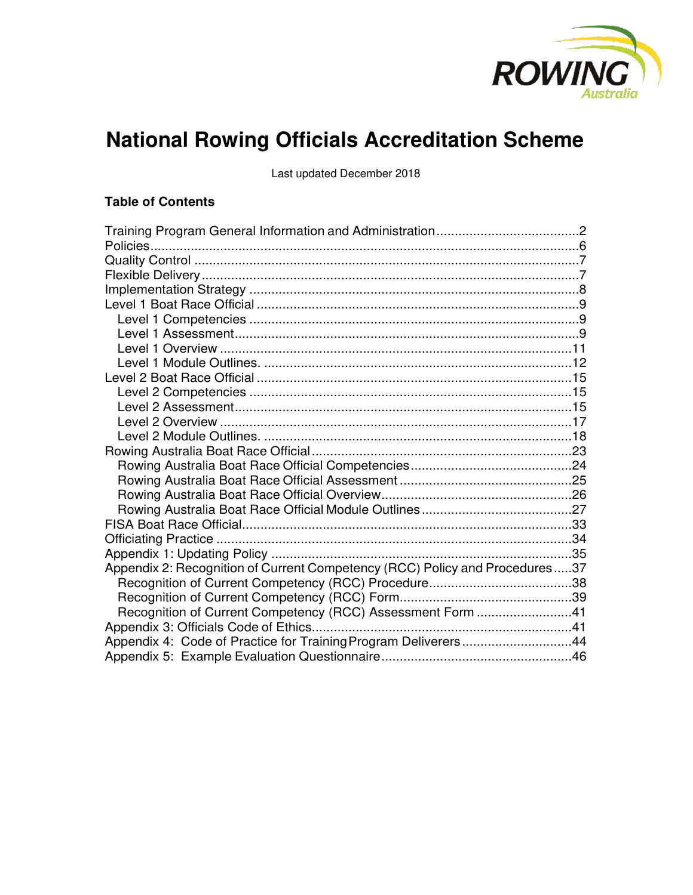

# **National Rowing Officials Accreditation Scheme**

Last updated December 2018

## **Table of Contents**

| Appendix 2: Recognition of Current Competency (RCC) Policy and Procedures37 |  |
|-----------------------------------------------------------------------------|--|
|                                                                             |  |
|                                                                             |  |
| Recognition of Current Competency (RCC) Assessment Form 41                  |  |
|                                                                             |  |
| Appendix 4: Code of Practice for Training Program Deliverers44              |  |
|                                                                             |  |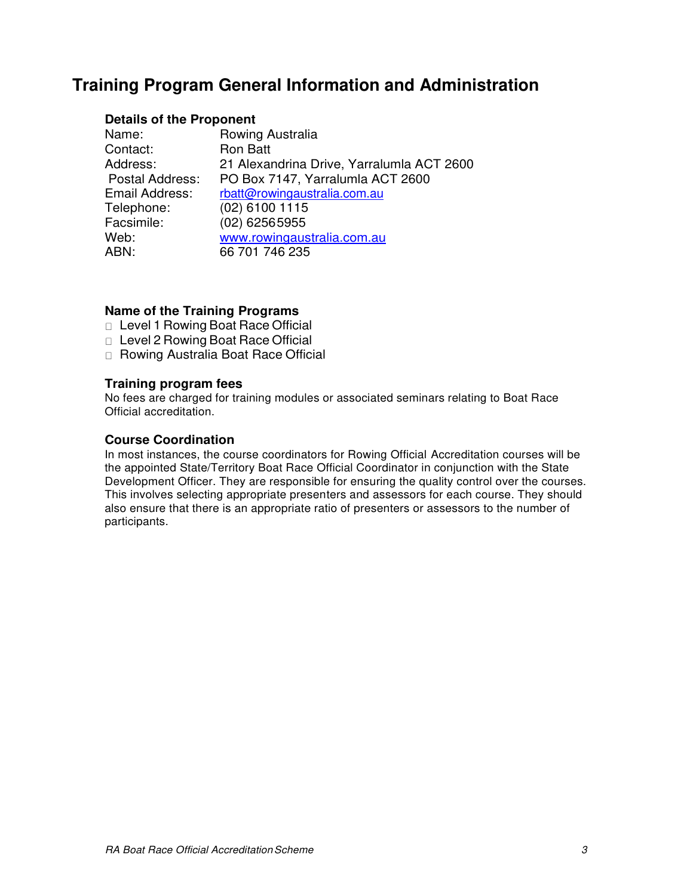# <span id="page-1-0"></span>**Training Program General Information and Administration**

## **Details of the Proponent**

| Name:                  | Rowing Australia                          |
|------------------------|-------------------------------------------|
| Contact:               | <b>Ron Batt</b>                           |
| Address:               | 21 Alexandrina Drive, Yarralumla ACT 2600 |
| <b>Postal Address:</b> | PO Box 7147, Yarralumla ACT 2600          |
| Email Address:         | rbatt@rowingaustralia.com.au              |
| Telephone:             | $(02)$ 6100 1115                          |
| Facsimile:             | $(02)$ 62565955                           |
| Web:                   | www.rowingaustralia.com.au                |
| ABN:                   | 66 701 746 235                            |

## **Name of the Training Programs**

- □ Level 1 Rowing Boat Race Official
- □ Level 2 Rowing Boat Race Official
- □ Rowing Australia Boat Race Official

## **Training program fees**

No fees are charged for training modules or associated seminars relating to Boat Race Official accreditation.

## **Course Coordination**

In most instances, the course coordinators for Rowing Official Accreditation courses will be the appointed State/Territory Boat Race Official Coordinator in conjunction with the State Development Officer. They are responsible for ensuring the quality control over the courses. This involves selecting appropriate presenters and assessors for each course. They should also ensure that there is an appropriate ratio of presenters or assessors to the number of participants.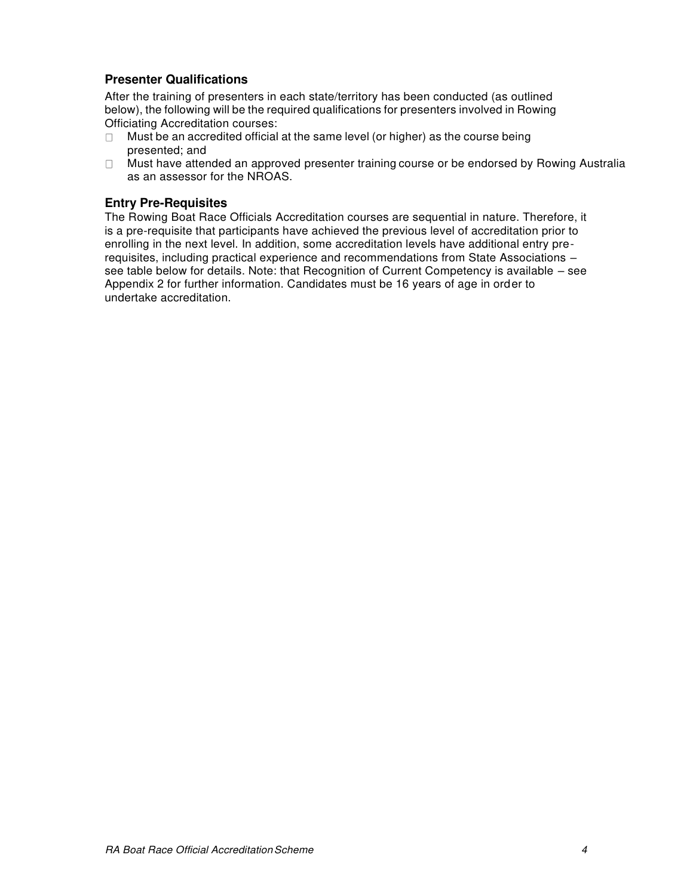## **Presenter Qualifications**

After the training of presenters in each state/territory has been conducted (as outlined below), the following will be the required qualifications for presenters involved in Rowing Officiating Accreditation courses:

- $\Box$  Must be an accredited official at the same level (or higher) as the course being presented; and
- $\Box$  Must have attended an approved presenter training course or be endorsed by Rowing Australia as an assessor for the NROAS.

## **Entry Pre-Requisites**

The Rowing Boat Race Officials Accreditation courses are sequential in nature. Therefore, it is a pre-requisite that participants have achieved the previous level of accreditation prior to enrolling in the next level. In addition, some accreditation levels have additional entry prerequisites, including practical experience and recommendations from State Associations – see table below for details. Note: that Recognition of Current Competency is available – see Appendix 2 for further information. Candidates must be 16 years of age in order to undertake accreditation.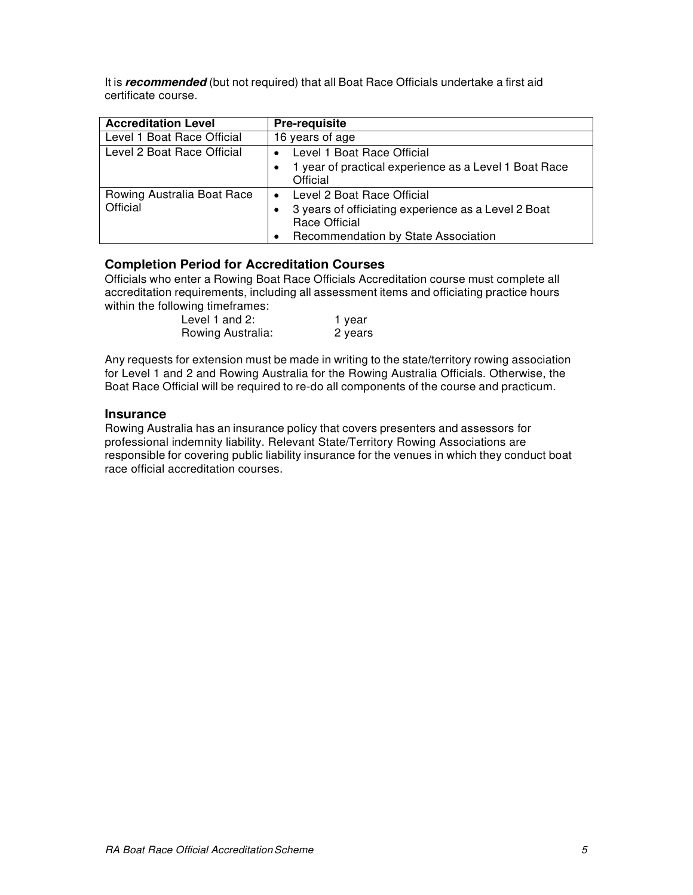It is *recommended* (but not required) that all Boat Race Officials undertake a first aid certificate course.

| <b>Accreditation Level</b>             | <b>Pre-requisite</b>                                                                                                                                   |
|----------------------------------------|--------------------------------------------------------------------------------------------------------------------------------------------------------|
| Level 1 Boat Race Official             | 16 years of age                                                                                                                                        |
| Level 2 Boat Race Official             | Level 1 Boat Race Official                                                                                                                             |
|                                        | 1 year of practical experience as a Level 1 Boat Race<br>Official                                                                                      |
| Rowing Australia Boat Race<br>Official | Level 2 Boat Race Official<br>$\bullet$<br>3 years of officiating experience as a Level 2 Boat<br>Race Official<br>Recommendation by State Association |

## **Completion Period for Accreditation Courses**

Officials who enter a Rowing Boat Race Officials Accreditation course must complete all accreditation requirements, including all assessment items and officiating practice hours within the following timeframes:

| Level 1 and $2$ : | 1 year  |
|-------------------|---------|
| Rowing Australia: | 2 years |

Any requests for extension must be made in writing to the state/territory rowing association for Level 1 and 2 and Rowing Australia for the Rowing Australia Officials. Otherwise, the Boat Race Official will be required to re-do all components of the course and practicum.

#### **Insurance**

Rowing Australia has an insurance policy that covers presenters and assessors for professional indemnity liability. Relevant State/Territory Rowing Associations are responsible for covering public liability insurance for the venues in which they conduct boat race official accreditation courses.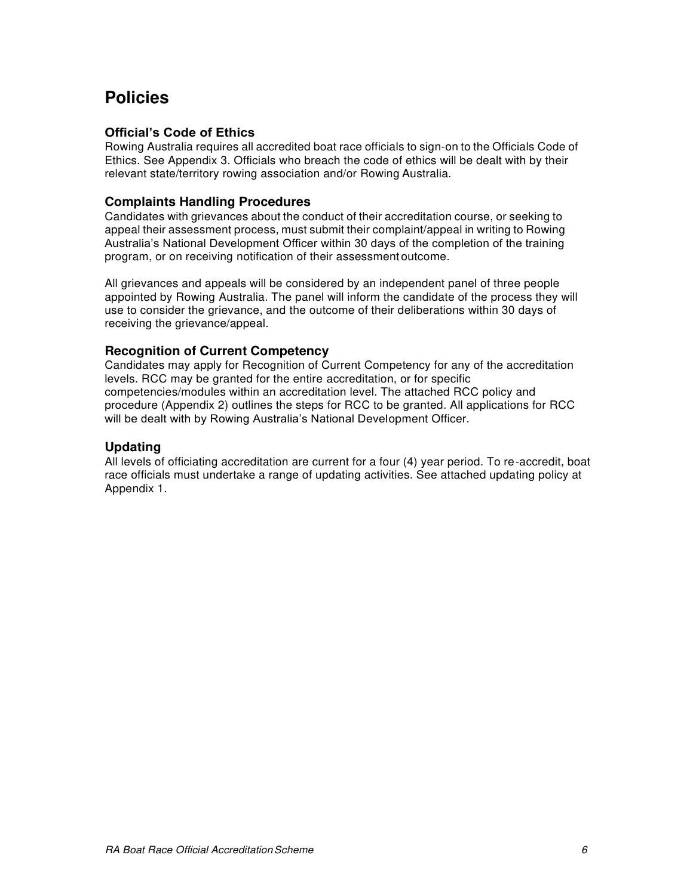# <span id="page-4-0"></span>**Policies**

## **Official's Code of Ethics**

Rowing Australia requires all accredited boat race officials to sign-on to the Officials Code of Ethics. See Appendix 3. Officials who breach the code of ethics will be dealt with by their relevant state/territory rowing association and/or Rowing Australia.

## **Complaints Handling Procedures**

Candidates with grievances about the conduct of their accreditation course, or seeking to appeal their assessment process, must submit their complaint/appeal in writing to Rowing Australia's National Development Officer within 30 days of the completion of the training program, or on receiving notification of their assessment outcome.

All grievances and appeals will be considered by an independent panel of three people appointed by Rowing Australia. The panel will inform the candidate of the process they will use to consider the grievance, and the outcome of their deliberations within 30 days of receiving the grievance/appeal.

## **Recognition of Current Competency**

Candidates may apply for Recognition of Current Competency for any of the accreditation levels. RCC may be granted for the entire accreditation, or for specific competencies/modules within an accreditation level. The attached RCC policy and procedure (Appendix 2) outlines the steps for RCC to be granted. All applications for RCC will be dealt with by Rowing Australia's National Development Officer.

## **Updating**

All levels of officiating accreditation are current for a four (4) year period. To re-accredit, boat race officials must undertake a range of updating activities. See attached updating policy at Appendix 1.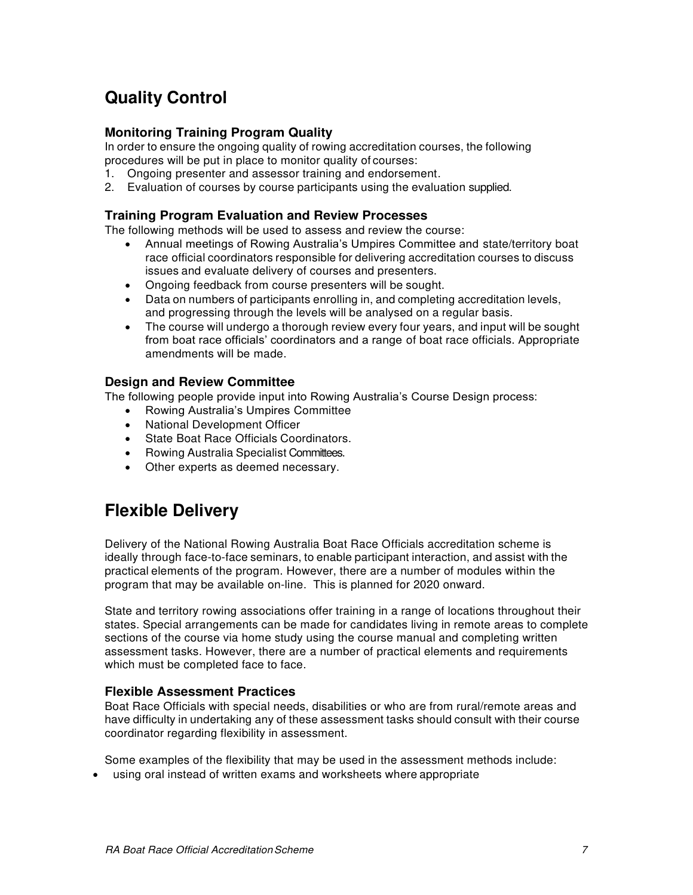# <span id="page-5-0"></span>**Quality Control**

## **Monitoring Training Program Quality**

In order to ensure the ongoing quality of rowing accreditation courses, the following procedures will be put in place to monitor quality of courses:

- 1. Ongoing presenter and assessor training and endorsement.
- 2. Evaluation of courses by course participants using the evaluation supplied.

## **Training Program Evaluation and Review Processes**

The following methods will be used to assess and review the course:

- Annual meetings of Rowing Australia's Umpires Committee and state/territory boat race official coordinators responsible for delivering accreditation courses to discuss issues and evaluate delivery of courses and presenters.
- Ongoing feedback from course presenters will be sought.
- Data on numbers of participants enrolling in, and completing accreditation levels, and progressing through the levels will be analysed on a regular basis.
- The course will undergo a thorough review every four years, and input will be sought from boat race officials' coordinators and a range of boat race officials. Appropriate amendments will be made.

## **Design and Review Committee**

The following people provide input into Rowing Australia's Course Design process:

- Rowing Australia's Umpires Committee
- National Development Officer
- State Boat Race Officials Coordinators.
- Rowing Australia Specialist Committees.
- Other experts as deemed necessary.

# <span id="page-5-1"></span>**Flexible Delivery**

Delivery of the National Rowing Australia Boat Race Officials accreditation scheme is ideally through face-to-face seminars, to enable participant interaction, and assist with the practical elements of the program. However, there are a number of modules within the program that may be available on-line. This is planned for 2020 onward.

State and territory rowing associations offer training in a range of locations throughout their states. Special arrangements can be made for candidates living in remote areas to complete sections of the course via home study using the course manual and completing written assessment tasks. However, there are a number of practical elements and requirements which must be completed face to face.

## **Flexible Assessment Practices**

Boat Race Officials with special needs, disabilities or who are from rural/remote areas and have difficulty in undertaking any of these assessment tasks should consult with their course coordinator regarding flexibility in assessment.

Some examples of the flexibility that may be used in the assessment methods include:

using oral instead of written exams and worksheets where appropriate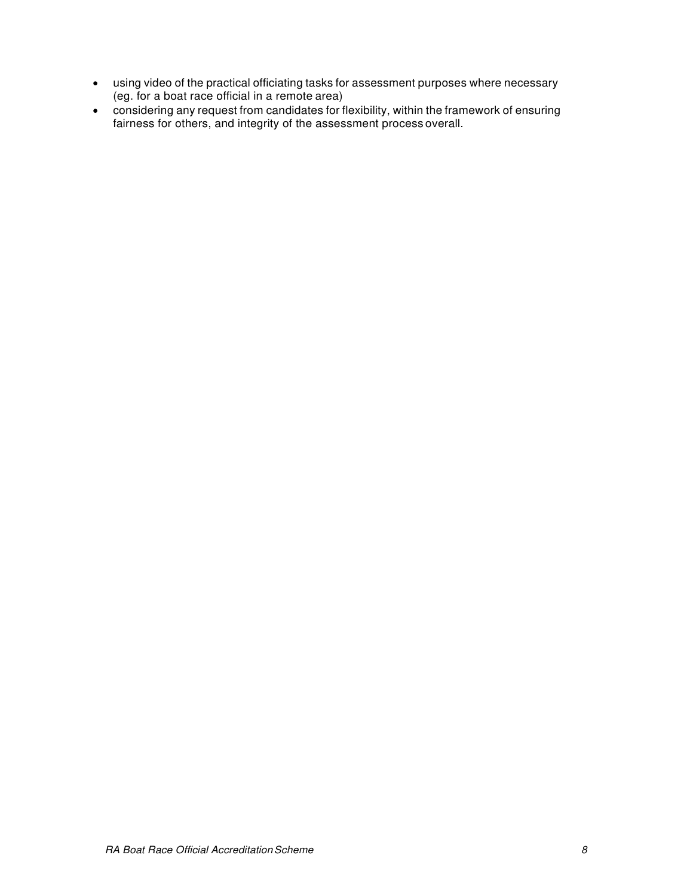- using video of the practical officiating tasks for assessment purposes where necessary (eg. for a boat race official in a remote area)
- <span id="page-6-0"></span> considering any request from candidates for flexibility, within the framework of ensuring fairness for others, and integrity of the assessment process overall.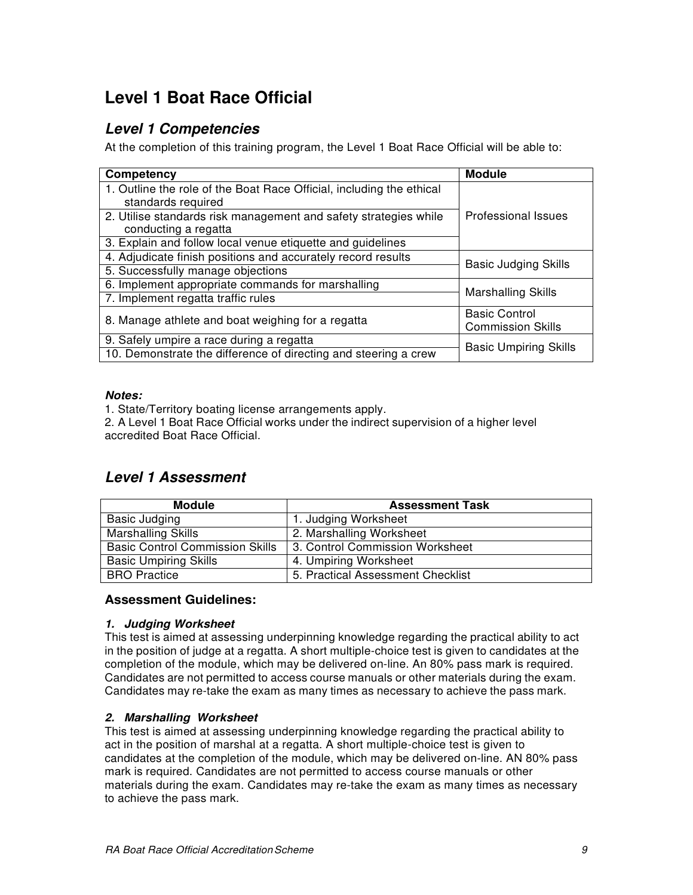# <span id="page-7-0"></span>**Level 1 Boat Race Official**

## <span id="page-7-1"></span>*Level 1 Competencies*

At the completion of this training program, the Level 1 Boat Race Official will be able to:

| Competency                                                                                     | <b>Module</b>                |  |
|------------------------------------------------------------------------------------------------|------------------------------|--|
| 1. Outline the role of the Boat Race Official, including the ethical                           |                              |  |
| standards required                                                                             |                              |  |
| 2. Utilise standards risk management and safety strategies while<br><b>Professional Issues</b> |                              |  |
| conducting a regatta                                                                           |                              |  |
| 3. Explain and follow local venue etiquette and guidelines                                     |                              |  |
| 4. Adjudicate finish positions and accurately record results                                   | <b>Basic Judging Skills</b>  |  |
| 5. Successfully manage objections                                                              |                              |  |
| 6. Implement appropriate commands for marshalling                                              |                              |  |
| 7. Implement regatta traffic rules                                                             | Marshalling Skills           |  |
| 8. Manage athlete and boat weighing for a regatta                                              | <b>Basic Control</b>         |  |
|                                                                                                | <b>Commission Skills</b>     |  |
| 9. Safely umpire a race during a regatta                                                       |                              |  |
| 10. Demonstrate the difference of directing and steering a crew                                | <b>Basic Umpiring Skills</b> |  |

## *Notes:*

1. State/Territory boating license arrangements apply.

2. A Level 1 Boat Race Official works under the indirect supervision of a higher level accredited Boat Race Official.

## <span id="page-7-2"></span>*Level 1 Assessment*

| <b>Module</b>                          | <b>Assessment Task</b>            |
|----------------------------------------|-----------------------------------|
| Basic Judging                          | 1. Judging Worksheet              |
| <b>Marshalling Skills</b>              | 2. Marshalling Worksheet          |
| <b>Basic Control Commission Skills</b> | 3. Control Commission Worksheet   |
| <b>Basic Umpiring Skills</b>           | 4. Umpiring Worksheet             |
| <b>BRO</b> Practice                    | 5. Practical Assessment Checklist |

## **Assessment Guidelines:**

## *1. Judging Worksheet*

This test is aimed at assessing underpinning knowledge regarding the practical ability to act in the position of judge at a regatta. A short multiple-choice test is given to candidates at the completion of the module, which may be delivered on-line. An 80% pass mark is required. Candidates are not permitted to access course manuals or other materials during the exam. Candidates may re-take the exam as many times as necessary to achieve the pass mark.

## *2. Marshalling Worksheet*

This test is aimed at assessing underpinning knowledge regarding the practical ability to act in the position of marshal at a regatta. A short multiple-choice test is given to candidates at the completion of the module, which may be delivered on-line. AN 80% pass mark is required. Candidates are not permitted to access course manuals or other materials during the exam. Candidates may re-take the exam as many times as necessary to achieve the pass mark.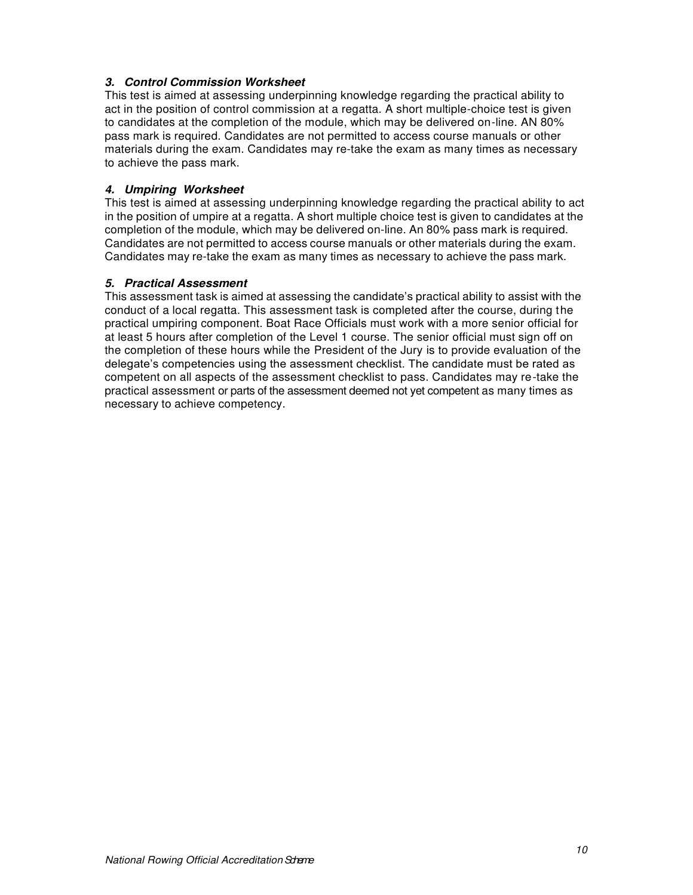## *3. Control Commission Worksheet*

This test is aimed at assessing underpinning knowledge regarding the practical ability to act in the position of control commission at a regatta. A short multiple-choice test is given to candidates at the completion of the module, which may be delivered on-line. AN 80% pass mark is required. Candidates are not permitted to access course manuals or other materials during the exam. Candidates may re-take the exam as many times as necessary to achieve the pass mark.

## *4. Umpiring Worksheet*

This test is aimed at assessing underpinning knowledge regarding the practical ability to act in the position of umpire at a regatta. A short multiple choice test is given to candidates at the completion of the module, which may be delivered on-line. An 80% pass mark is required. Candidates are not permitted to access course manuals or other materials during the exam. Candidates may re-take the exam as many times as necessary to achieve the pass mark.

## *5. Practical Assessment*

This assessment task is aimed at assessing the candidate's practical ability to assist with the conduct of a local regatta. This assessment task is completed after the course, during the practical umpiring component. Boat Race Officials must work with a more senior official for at least 5 hours after completion of the Level 1 course. The senior official must sign off on the completion of these hours while the President of the Jury is to provide evaluation of the delegate's competencies using the assessment checklist. The candidate must be rated as competent on all aspects of the assessment checklist to pass. Candidates may re-take the practical assessment or parts of the assessment deemed not yet competent as many times as necessary to achieve competency.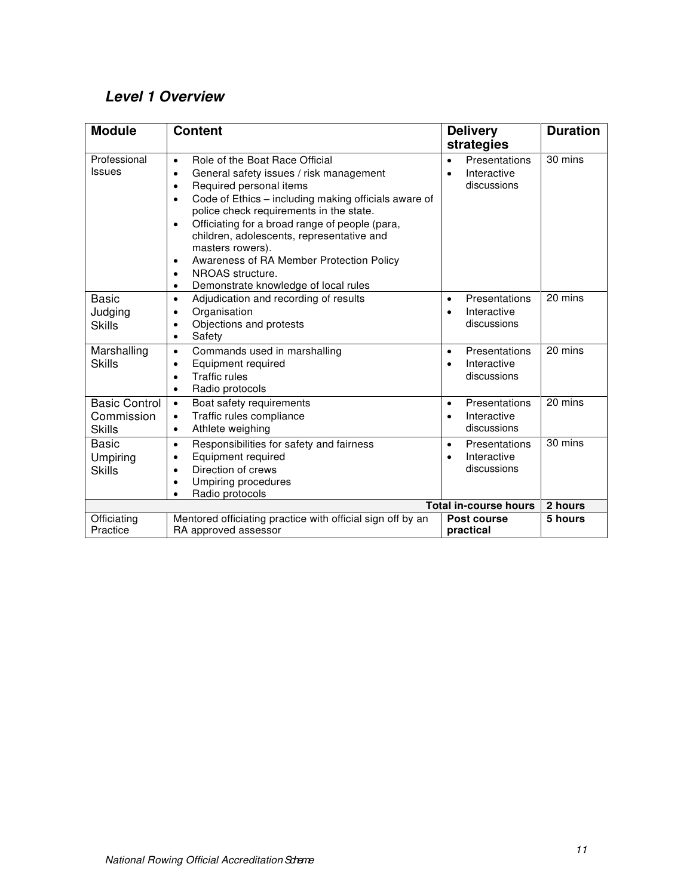# <span id="page-9-0"></span>*Level 1 Overview*

| <b>Module</b>                                       | <b>Content</b>                                                                                                                                                                                                                                                                                                                                                                                                                                                                                                                             | <b>Delivery</b><br>strategies                                         | <b>Duration</b> |
|-----------------------------------------------------|--------------------------------------------------------------------------------------------------------------------------------------------------------------------------------------------------------------------------------------------------------------------------------------------------------------------------------------------------------------------------------------------------------------------------------------------------------------------------------------------------------------------------------------------|-----------------------------------------------------------------------|-----------------|
| Professional<br><b>Issues</b>                       | Role of the Boat Race Official<br>$\bullet$<br>General safety issues / risk management<br>$\bullet$<br>Required personal items<br>$\bullet$<br>Code of Ethics - including making officials aware of<br>$\bullet$<br>police check requirements in the state.<br>Officiating for a broad range of people (para,<br>$\bullet$<br>children, adolescents, representative and<br>masters rowers).<br>Awareness of RA Member Protection Policy<br>$\bullet$<br>NROAS structure.<br>$\bullet$<br>Demonstrate knowledge of local rules<br>$\bullet$ | Presentations<br>$\bullet$<br>Interactive<br>$\bullet$<br>discussions | 30 mins         |
| <b>Basic</b><br>Judging<br><b>Skills</b>            | Adjudication and recording of results<br>$\bullet$<br>Organisation<br>$\bullet$<br>Objections and protests<br>$\bullet$<br>Safety<br>$\bullet$                                                                                                                                                                                                                                                                                                                                                                                             | Presentations<br>$\bullet$<br>Interactive<br>$\bullet$<br>discussions | 20 mins         |
| Marshalling<br><b>Skills</b>                        | Commands used in marshalling<br>$\bullet$<br>Equipment required<br>$\bullet$<br><b>Traffic rules</b><br>$\bullet$<br>Radio protocols<br>$\bullet$                                                                                                                                                                                                                                                                                                                                                                                          | Presentations<br>$\bullet$<br>Interactive<br>$\bullet$<br>discussions | 20 mins         |
| <b>Basic Control</b><br>Commission<br><b>Skills</b> | Boat safety requirements<br>$\bullet$<br>Traffic rules compliance<br>$\bullet$<br>Athlete weighing<br>$\bullet$                                                                                                                                                                                                                                                                                                                                                                                                                            | Presentations<br>$\bullet$<br>Interactive<br>$\bullet$<br>discussions | 20 mins         |
| Basic<br>Umpiring<br><b>Skills</b>                  | Responsibilities for safety and fairness<br>$\bullet$<br>Equipment required<br>$\bullet$<br>Direction of crews<br>$\bullet$<br><b>Umpiring procedures</b><br>$\bullet$<br>Radio protocols<br>$\bullet$                                                                                                                                                                                                                                                                                                                                     | Presentations<br>$\bullet$<br>Interactive<br>$\bullet$<br>discussions | 30 mins         |
| <b>Total in-course hours</b>                        |                                                                                                                                                                                                                                                                                                                                                                                                                                                                                                                                            |                                                                       | 2 hours         |
| Officiating<br>Practice                             | Mentored officiating practice with official sign off by an<br>RA approved assessor                                                                                                                                                                                                                                                                                                                                                                                                                                                         | Post course<br>practical                                              | 5 hours         |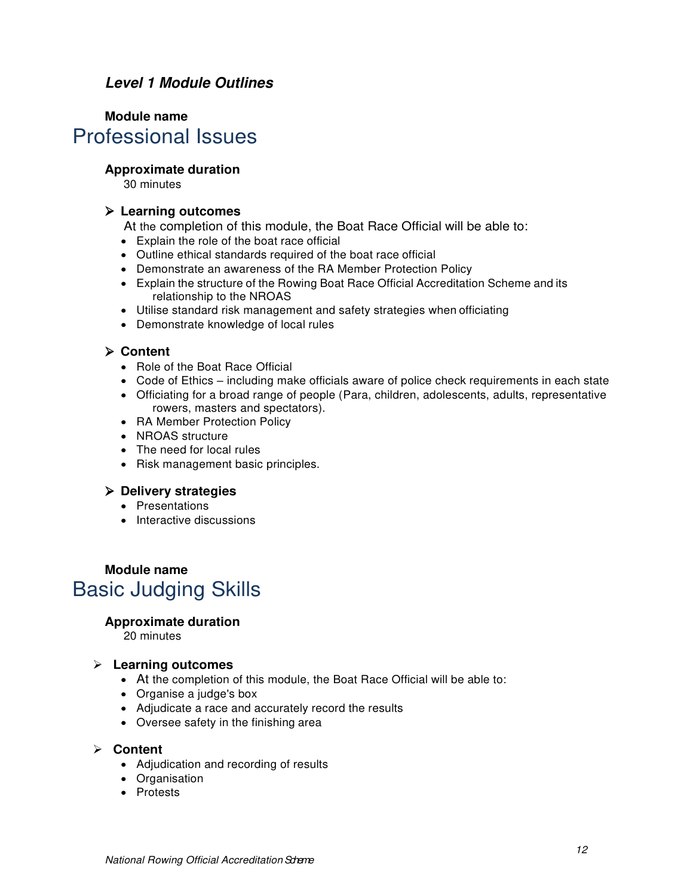## <span id="page-10-0"></span>*Level 1 Module Outlines*

## **Module name**  Professional Issues

## **Approximate duration**

30 minutes

## **Learning outcomes**

At the completion of this module, the Boat Race Official will be able to:

- Explain the role of the boat race official
- Outline ethical standards required of the boat race official
- Demonstrate an awareness of the RA Member Protection Policy
- Explain the structure of the Rowing Boat Race Official Accreditation Scheme and its relationship to the NROAS
- Utilise standard risk management and safety strategies when officiating
- Demonstrate knowledge of local rules

## **Content**

- Role of the Boat Race Official
- Code of Ethics including make officials aware of police check requirements in each state
- Officiating for a broad range of people (Para, children, adolescents, adults, representative rowers, masters and spectators).
- RA Member Protection Policy
- NROAS structure
- The need for local rules
- Risk management basic principles.

## **Delivery strategies**

- Presentations
- **Interactive discussions**

# **Module name** Basic Judging Skills

## **Approximate duration**

20 minutes

## **Learning outcomes**

- At the completion of this module, the Boat Race Official will be able to:
- Organise a judge's box
- Adjudicate a race and accurately record the results
- Oversee safety in the finishing area

## **Content**

- Adjudication and recording of results
- Organisation
- Protests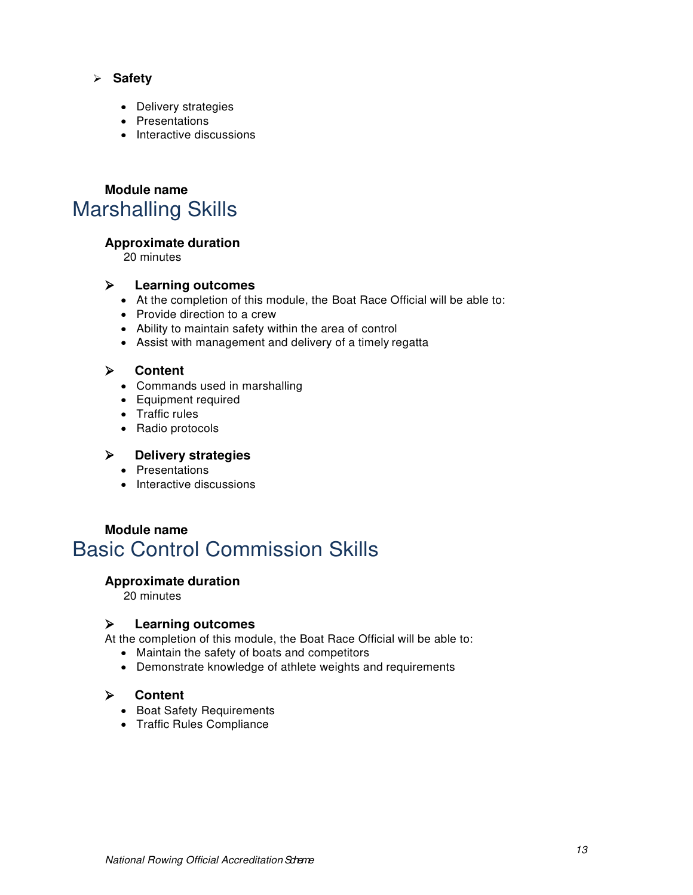- **Safety**
	- Delivery strategies
	- Presentations
	- Interactive discussions

# **Module name** Marshalling Skills

## **Approximate duration**

20 minutes

## **Learning outcomes**

- At the completion of this module, the Boat Race Official will be able to:
- Provide direction to a crew
- Ability to maintain safety within the area of control
- Assist with management and delivery of a timely regatta

## **Content**

- Commands used in marshalling
- Equipment required
- Traffic rules
- Radio protocols

## **Delivery strategies**

- Presentations
- Interactive discussions

# **Module name** Basic Control Commission Skills

## **Approximate duration**

20 minutes

## **Learning outcomes**

At the completion of this module, the Boat Race Official will be able to:

- Maintain the safety of boats and competitors
- Demonstrate knowledge of athlete weights and requirements

## **Content**

- Boat Safety Requirements
- Traffic Rules Compliance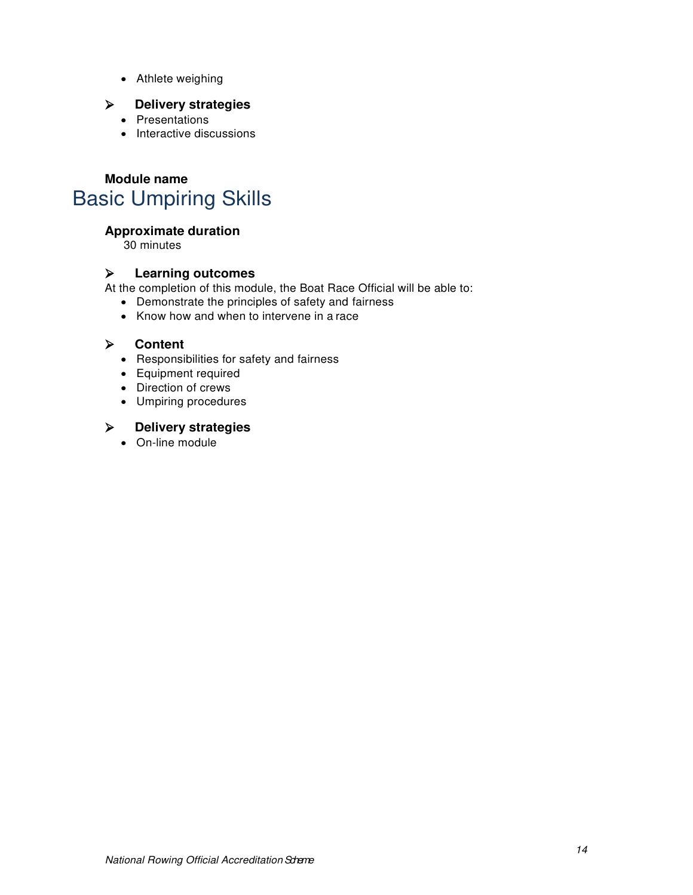Athlete weighing

## **Delivery strategies**

- Presentations
- Interactive discussions

# **Module name** Basic Umpiring Skills

## **Approximate duration**

30 minutes

## **Learning outcomes**

At the completion of this module, the Boat Race Official will be able to:

- Demonstrate the principles of safety and fairness
- Know how and when to intervene in a race

## **Content**

- Responsibilities for safety and fairness
- Equipment required
- Direction of crews
- Umpiring procedures

## **Delivery strategies**

On-line module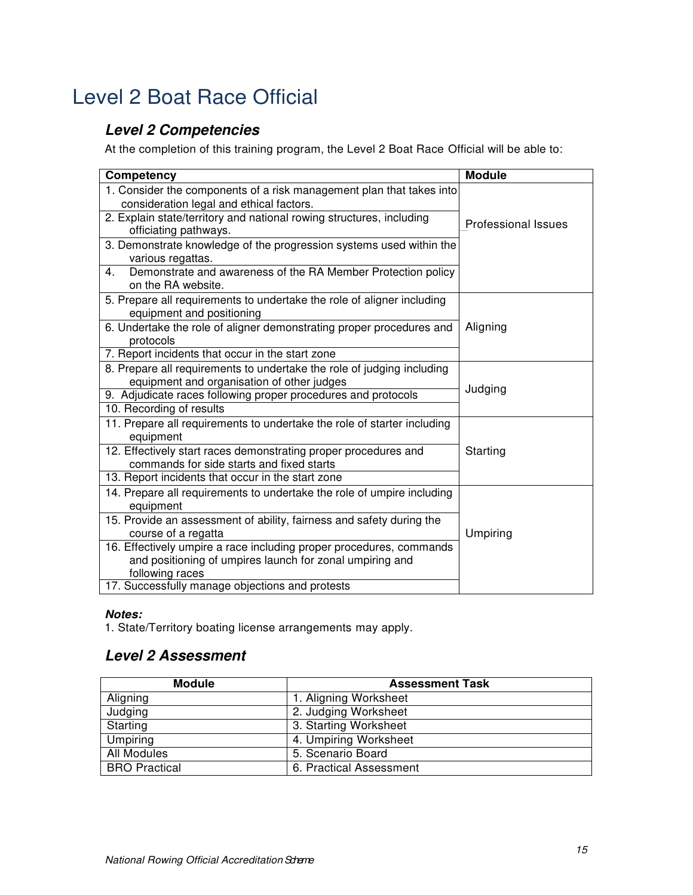# <span id="page-13-1"></span><span id="page-13-0"></span>Level 2 Boat Race Official

## *Level 2 Competencies*

At the completion of this training program, the Level 2 Boat Race Official will be able to:

| <b>Competency</b>                                                                                            | <b>Module</b>              |
|--------------------------------------------------------------------------------------------------------------|----------------------------|
| 1. Consider the components of a risk management plan that takes into                                         |                            |
| consideration legal and ethical factors.                                                                     |                            |
| 2. Explain state/territory and national rowing structures, including<br>officiating pathways.                | <b>Professional Issues</b> |
| 3. Demonstrate knowledge of the progression systems used within the<br>various regattas.                     |                            |
| Demonstrate and awareness of the RA Member Protection policy<br>$4_{\cdot}$<br>on the RA website.            |                            |
| 5. Prepare all requirements to undertake the role of aligner including<br>equipment and positioning          |                            |
| 6. Undertake the role of aligner demonstrating proper procedures and<br>protocols                            | Aligning                   |
| 7. Report incidents that occur in the start zone                                                             |                            |
| 8. Prepare all requirements to undertake the role of judging including                                       |                            |
| equipment and organisation of other judges                                                                   | Judging                    |
| 9. Adjudicate races following proper procedures and protocols                                                |                            |
| 10. Recording of results                                                                                     |                            |
| 11. Prepare all requirements to undertake the role of starter including<br>equipment                         |                            |
| 12. Effectively start races demonstrating proper procedures and<br>commands for side starts and fixed starts | Starting                   |
| 13. Report incidents that occur in the start zone                                                            |                            |
| 14. Prepare all requirements to undertake the role of umpire including<br>equipment                          |                            |
| 15. Provide an assessment of ability, fairness and safety during the                                         |                            |
| course of a regatta                                                                                          | Umpiring                   |
| 16. Effectively umpire a race including proper procedures, commands                                          |                            |
| and positioning of umpires launch for zonal umpiring and<br>following races                                  |                            |
| 17. Successfully manage objections and protests                                                              |                            |

## *Notes:*

1. State/Territory boating license arrangements may apply.

## <span id="page-13-2"></span>*Level 2 Assessment*

| <b>Module</b>        | <b>Assessment Task</b>  |
|----------------------|-------------------------|
| Aligning             | 1. Aligning Worksheet   |
| Judging              | 2. Judging Worksheet    |
| Starting             | 3. Starting Worksheet   |
| Umpiring             | 4. Umpiring Worksheet   |
| <b>All Modules</b>   | 5. Scenario Board       |
| <b>BRO</b> Practical | 6. Practical Assessment |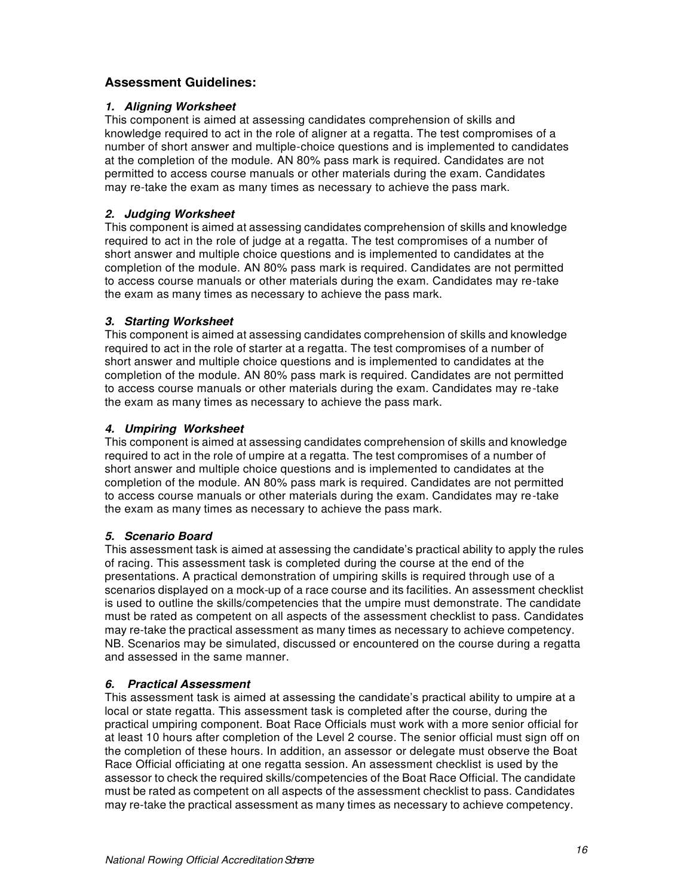## **Assessment Guidelines:**

## *1. Aligning Worksheet*

This component is aimed at assessing candidates comprehension of skills and knowledge required to act in the role of aligner at a regatta. The test compromises of a number of short answer and multiple-choice questions and is implemented to candidates at the completion of the module. AN 80% pass mark is required. Candidates are not permitted to access course manuals or other materials during the exam. Candidates may re-take the exam as many times as necessary to achieve the pass mark.

## *2. Judging Worksheet*

This component is aimed at assessing candidates comprehension of skills and knowledge required to act in the role of judge at a regatta. The test compromises of a number of short answer and multiple choice questions and is implemented to candidates at the completion of the module. AN 80% pass mark is required. Candidates are not permitted to access course manuals or other materials during the exam. Candidates may re-take the exam as many times as necessary to achieve the pass mark.

## *3. Starting Worksheet*

This component is aimed at assessing candidates comprehension of skills and knowledge required to act in the role of starter at a regatta. The test compromises of a number of short answer and multiple choice questions and is implemented to candidates at the completion of the module. AN 80% pass mark is required. Candidates are not permitted to access course manuals or other materials during the exam. Candidates may re-take the exam as many times as necessary to achieve the pass mark.

## *4. Umpiring Worksheet*

This component is aimed at assessing candidates comprehension of skills and knowledge required to act in the role of umpire at a regatta. The test compromises of a number of short answer and multiple choice questions and is implemented to candidates at the completion of the module. AN 80% pass mark is required. Candidates are not permitted to access course manuals or other materials during the exam. Candidates may re-take the exam as many times as necessary to achieve the pass mark.

## *5. Scenario Board*

This assessment task is aimed at assessing the candidate's practical ability to apply the rules of racing. This assessment task is completed during the course at the end of the presentations. A practical demonstration of umpiring skills is required through use of a scenarios displayed on a mock-up of a race course and its facilities. An assessment checklist is used to outline the skills/competencies that the umpire must demonstrate. The candidate must be rated as competent on all aspects of the assessment checklist to pass. Candidates may re-take the practical assessment as many times as necessary to achieve competency. NB. Scenarios may be simulated, discussed or encountered on the course during a regatta and assessed in the same manner.

## *6. Practical Assessment*

This assessment task is aimed at assessing the candidate's practical ability to umpire at a local or state regatta. This assessment task is completed after the course, during the practical umpiring component. Boat Race Officials must work with a more senior official for at least 10 hours after completion of the Level 2 course. The senior official must sign off on the completion of these hours. In addition, an assessor or delegate must observe the Boat Race Official officiating at one regatta session. An assessment checklist is used by the assessor to check the required skills/competencies of the Boat Race Official. The candidate must be rated as competent on all aspects of the assessment checklist to pass. Candidates may re-take the practical assessment as many times as necessary to achieve competency.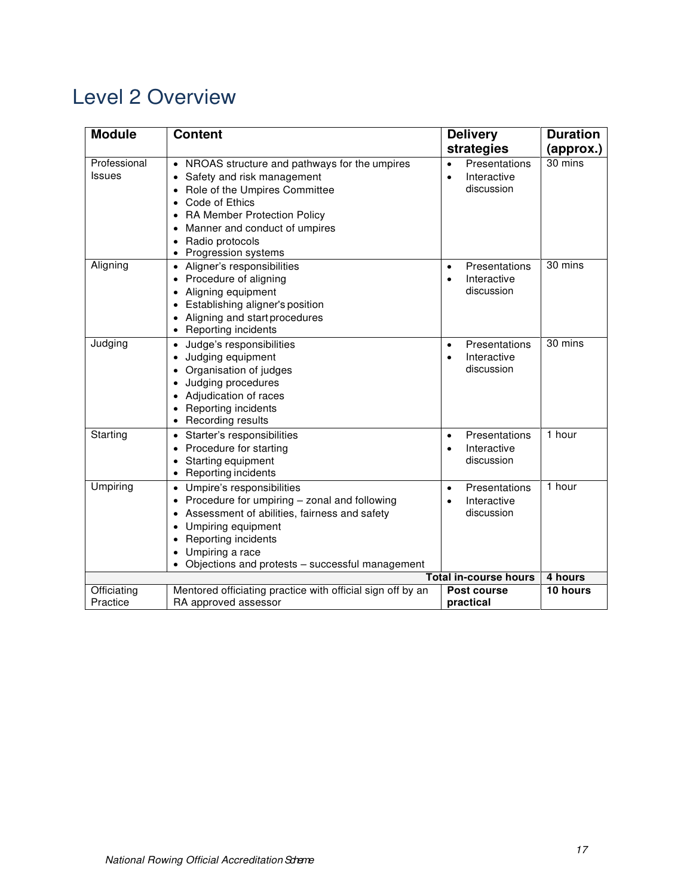# <span id="page-15-0"></span>Level 2 Overview

| <b>Module</b>                 | <b>Content</b>                                                                                                                                                                                                                                                                   | <b>Delivery</b><br>strategies                                        | <b>Duration</b><br>(approx.) |
|-------------------------------|----------------------------------------------------------------------------------------------------------------------------------------------------------------------------------------------------------------------------------------------------------------------------------|----------------------------------------------------------------------|------------------------------|
| Professional<br><b>Issues</b> | NROAS structure and pathways for the umpires<br>Safety and risk management<br>Role of the Umpires Committee<br>Code of Ethics<br>RA Member Protection Policy<br>Manner and conduct of umpires<br>Radio protocols<br>Progression systems                                          | Presentations<br>$\bullet$<br>Interactive<br>$\bullet$<br>discussion | 30 mins                      |
| Aligning                      | • Aligner's responsibilities<br>Procedure of aligning<br>$\bullet$<br>Aligning equipment<br>٠<br>Establishing aligner's position<br>٠<br>Aligning and start procedures<br>٠<br>Reporting incidents                                                                               | Presentations<br>$\bullet$<br>Interactive<br>$\bullet$<br>discussion | 30 mins                      |
| Judging                       | Judge's responsibilities<br>$\bullet$<br>Judging equipment<br>٠<br>Organisation of judges<br>Judging procedures<br>٠<br>Adjudication of races<br>$\bullet$<br>Reporting incidents<br>$\bullet$<br>Recording results<br>$\bullet$                                                 | Presentations<br>$\bullet$<br>Interactive<br>$\bullet$<br>discussion | 30 mins                      |
| Starting                      | Starter's responsibilities<br>$\bullet$<br>Procedure for starting<br>$\bullet$<br>Starting equipment<br>٠<br>Reporting incidents<br>٠                                                                                                                                            | Presentations<br>$\bullet$<br>Interactive<br>$\bullet$<br>discussion | 1 hour                       |
| Umpiring                      | Umpire's responsibilities<br>$\bullet$<br>Procedure for umpiring - zonal and following<br>$\bullet$<br>Assessment of abilities, fairness and safety<br>٠<br>Umpiring equipment<br>Reporting incidents<br>٠<br>Umpiring a race<br>Objections and protests - successful management | Presentations<br>$\bullet$<br>Interactive<br>$\bullet$<br>discussion | 1 hour                       |
| <b>Total in-course hours</b>  |                                                                                                                                                                                                                                                                                  |                                                                      | 4 hours                      |
| Officiating<br>Practice       | Mentored officiating practice with official sign off by an<br>RA approved assessor                                                                                                                                                                                               | Post course<br>practical                                             | 10 hours                     |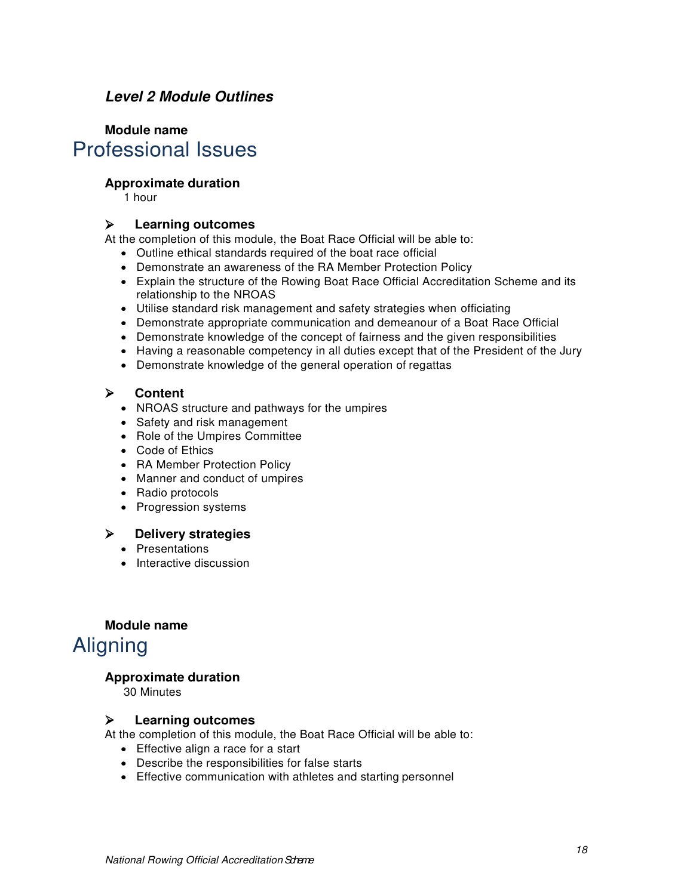## <span id="page-16-0"></span>*Level 2 Module Outlines*

# **Module name** Professional Issues

## **Approximate duration**

1 hour

## **Learning outcomes**

At the completion of this module, the Boat Race Official will be able to:

- Outline ethical standards required of the boat race official
- Demonstrate an awareness of the RA Member Protection Policy
- Explain the structure of the Rowing Boat Race Official Accreditation Scheme and its relationship to the NROAS
- Utilise standard risk management and safety strategies when officiating
- Demonstrate appropriate communication and demeanour of a Boat Race Official
- Demonstrate knowledge of the concept of fairness and the given responsibilities
- Having a reasonable competency in all duties except that of the President of the Jury
- Demonstrate knowledge of the general operation of regattas

## **Content**

- NROAS structure and pathways for the umpires
- Safety and risk management
- Role of the Umpires Committee
- Code of Ethics
- RA Member Protection Policy
- Manner and conduct of umpires
- Radio protocols
- Progression systems

## **Delivery strategies**

- Presentations
- Interactive discussion

## **Module name** Aligning

## **Approximate duration**

30 Minutes

## **Learning outcomes**

At the completion of this module, the Boat Race Official will be able to:

- Effective align a race for a start
- Describe the responsibilities for false starts
- Effective communication with athletes and starting personnel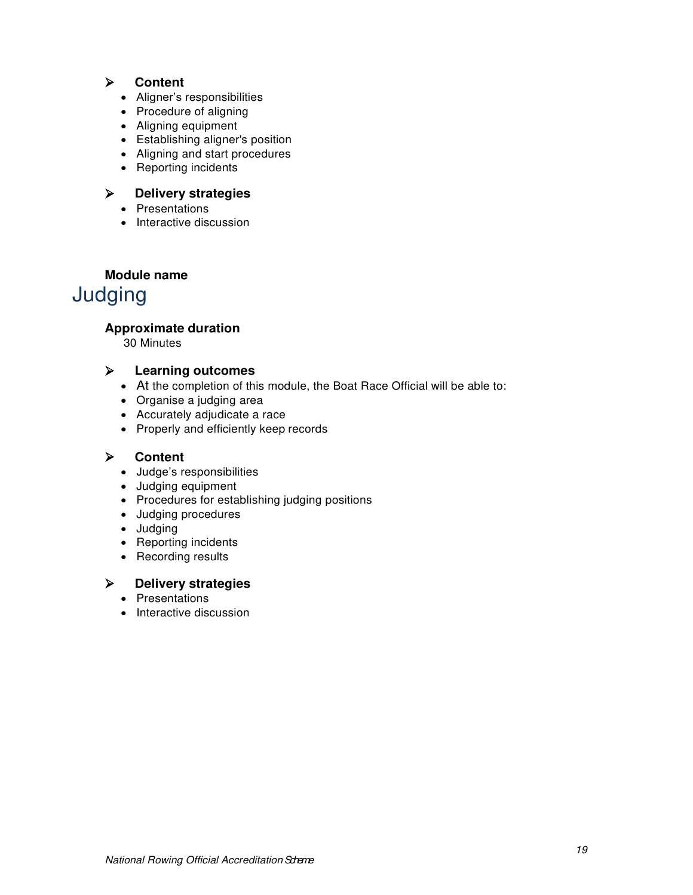## **Content**

- Aligner's responsibilities
- Procedure of aligning
- Aligning equipment
- Establishing aligner's position
- Aligning and start procedures
- Reporting incidents

## **Delivery strategies**

- Presentations
- Interactive discussion

# **Module name** Judging

## **Approximate duration**

30 Minutes

## **Learning outcomes**

- At the completion of this module, the Boat Race Official will be able to:
- Organise a judging area
- Accurately adjudicate a race
- Properly and efficiently keep records

## **Content**

- Judge's responsibilities
- Judging equipment
- Procedures for establishing judging positions
- Judging procedures
- Judging
- Reporting incidents
- Recording results

## **Delivery strategies**

- Presentations
- Interactive discussion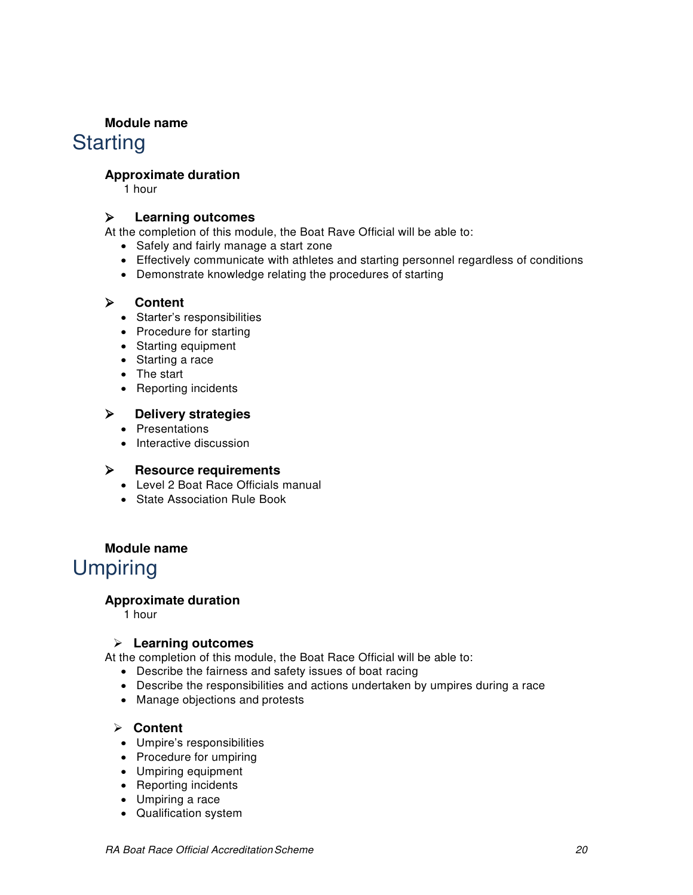## **Module name**

# **Starting**

## **Approximate duration**

1 hour

## **Learning outcomes**

At the completion of this module, the Boat Rave Official will be able to:

- Safely and fairly manage a start zone
- Effectively communicate with athletes and starting personnel regardless of conditions
- Demonstrate knowledge relating the procedures of starting

## **Content**

- Starter's responsibilities
- Procedure for starting
- Starting equipment
- Starting a race
- The start
- Reporting incidents

## **Delivery strategies**

- Presentations
- Interactive discussion

## **Resource requirements**

- Level 2 Boat Race Officials manual
- State Association Rule Book

## **Module name**

# **Umpiring**

## **Approximate duration**

1 hour

## **Learning outcomes**

At the completion of this module, the Boat Race Official will be able to:

- Describe the fairness and safety issues of boat racing
- Describe the responsibilities and actions undertaken by umpires during a race
- Manage objections and protests

## **Content**

- Umpire's responsibilities
- Procedure for umpiring
- Umpiring equipment
- Reporting incidents
- Umpiring a race
- Qualification system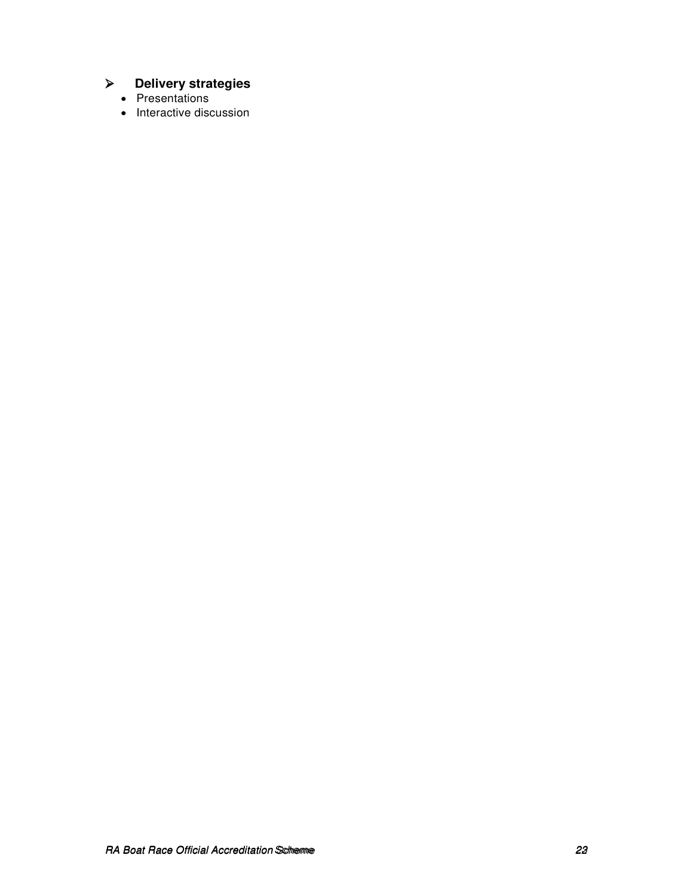# **Delivery strategies**

- Presentations
- Interactive discussion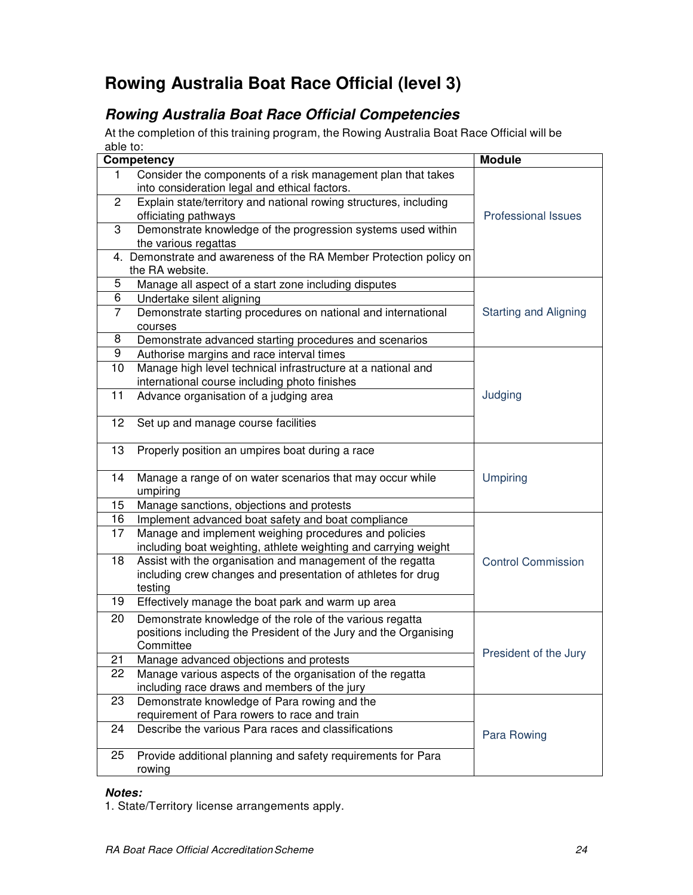# <span id="page-20-0"></span>**Rowing Australia Boat Race Official (level 3)**

# <span id="page-20-1"></span>*Rowing Australia Boat Race Official Competencies*

At the completion of this training program, the Rowing Australia Boat Race Official will be able to:

|                | Competency                                                         | <b>Module</b>                |
|----------------|--------------------------------------------------------------------|------------------------------|
| 1.             | Consider the components of a risk management plan that takes       |                              |
|                | into consideration legal and ethical factors.                      |                              |
| 2              | Explain state/territory and national rowing structures, including  |                              |
|                | officiating pathways                                               | <b>Professional Issues</b>   |
| 3              | Demonstrate knowledge of the progression systems used within       |                              |
|                | the various regattas                                               |                              |
|                | 4. Demonstrate and awareness of the RA Member Protection policy on |                              |
|                | the RA website.                                                    |                              |
| 5              | Manage all aspect of a start zone including disputes               |                              |
| 6              | Undertake silent aligning                                          |                              |
| $\overline{7}$ | Demonstrate starting procedures on national and international      | <b>Starting and Aligning</b> |
| 8              | courses                                                            |                              |
| 9              | Demonstrate advanced starting procedures and scenarios             |                              |
|                | Authorise margins and race interval times                          |                              |
| 10             | Manage high level technical infrastructure at a national and       |                              |
|                | international course including photo finishes                      |                              |
| 11             | Advance organisation of a judging area                             | Judging                      |
| 12             | Set up and manage course facilities                                |                              |
|                |                                                                    |                              |
| 13             | Properly position an umpires boat during a race                    |                              |
|                |                                                                    |                              |
| 14             | Manage a range of on water scenarios that may occur while          | <b>Umpiring</b>              |
|                | umpiring                                                           |                              |
| 15             | Manage sanctions, objections and protests                          |                              |
| 16             | Implement advanced boat safety and boat compliance                 |                              |
| 17             | Manage and implement weighing procedures and policies              |                              |
|                | including boat weighting, athlete weighting and carrying weight    |                              |
| 18             | Assist with the organisation and management of the regatta         | <b>Control Commission</b>    |
|                | including crew changes and presentation of athletes for drug       |                              |
|                | testing                                                            |                              |
| 19             | Effectively manage the boat park and warm up area                  |                              |
| 20             | Demonstrate knowledge of the role of the various regatta           |                              |
|                | positions including the President of the Jury and the Organising   |                              |
|                | Committee                                                          | President of the Jury        |
| 21             | Manage advanced objections and protests                            |                              |
| 22             | Manage various aspects of the organisation of the regatta          |                              |
|                | including race draws and members of the jury                       |                              |
| 23             | Demonstrate knowledge of Para rowing and the                       |                              |
|                | requirement of Para rowers to race and train                       |                              |
| 24             | Describe the various Para races and classifications                | Para Rowing                  |
| 25             | Provide additional planning and safety requirements for Para       |                              |
|                | rowing                                                             |                              |
|                |                                                                    |                              |

#### *Notes:*

1. State/Territory license arrangements apply.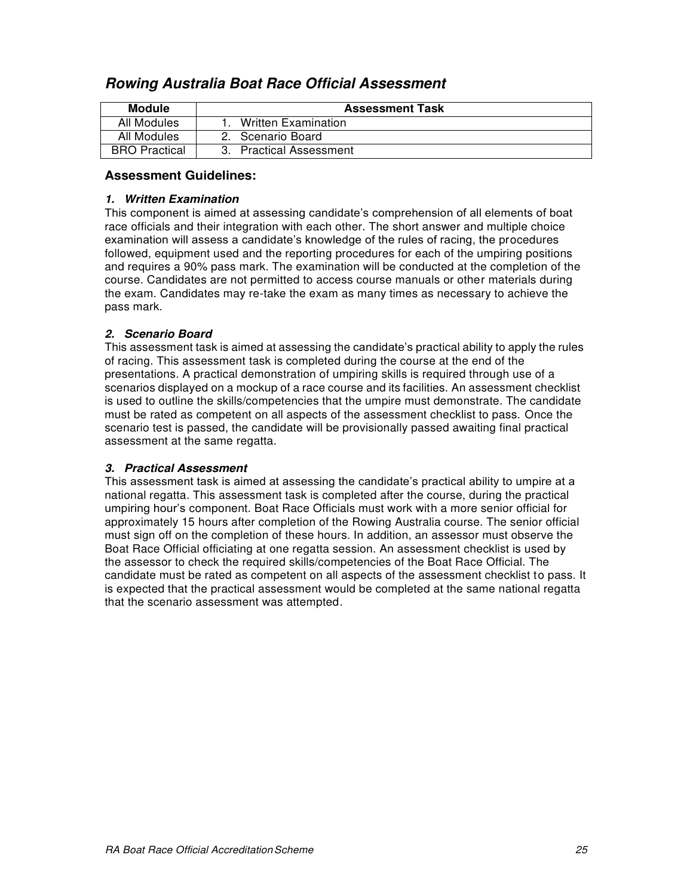| Module               | <b>Assessment Task</b>     |
|----------------------|----------------------------|
| All Modules          | <b>Written Examination</b> |
| All Modules          | 2. Scenario Board          |
| <b>BRO Practical</b> | 3. Practical Assessment    |

## <span id="page-21-0"></span>*Rowing Australia Boat Race Official Assessment*

## **Assessment Guidelines:**

#### *1. Written Examination*

This component is aimed at assessing candidate's comprehension of all elements of boat race officials and their integration with each other. The short answer and multiple choice examination will assess a candidate's knowledge of the rules of racing, the procedures followed, equipment used and the reporting procedures for each of the umpiring positions and requires a 90% pass mark. The examination will be conducted at the completion of the course. Candidates are not permitted to access course manuals or other materials during the exam. Candidates may re-take the exam as many times as necessary to achieve the pass mark.

## *2. Scenario Board*

This assessment task is aimed at assessing the candidate's practical ability to apply the rules of racing. This assessment task is completed during the course at the end of the presentations. A practical demonstration of umpiring skills is required through use of a scenarios displayed on a mockup of a race course and its facilities. An assessment checklist is used to outline the skills/competencies that the umpire must demonstrate. The candidate must be rated as competent on all aspects of the assessment checklist to pass. Once the scenario test is passed, the candidate will be provisionally passed awaiting final practical assessment at the same regatta.

## *3. Practical Assessment*

This assessment task is aimed at assessing the candidate's practical ability to umpire at a national regatta. This assessment task is completed after the course, during the practical umpiring hour's component. Boat Race Officials must work with a more senior official for approximately 15 hours after completion of the Rowing Australia course. The senior official must sign off on the completion of these hours. In addition, an assessor must observe the Boat Race Official officiating at one regatta session. An assessment checklist is used by the assessor to check the required skills/competencies of the Boat Race Official. The candidate must be rated as competent on all aspects of the assessment checklist to pass. It is expected that the practical assessment would be completed at the same national regatta that the scenario assessment was attempted.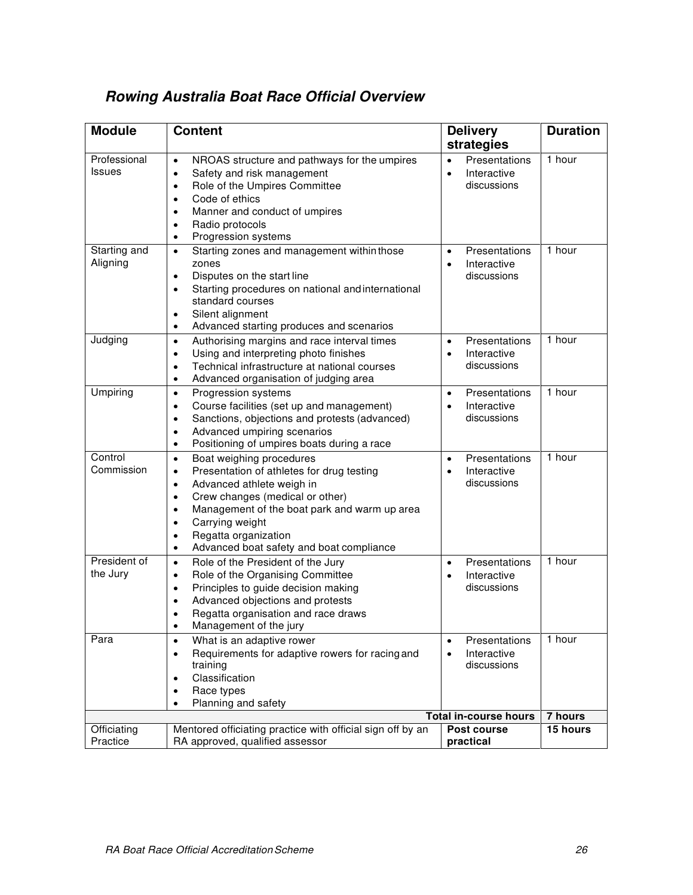| <b>Module</b>                 | <b>Content</b>                                                                                                                                                                                                                                                                                                                                                               | <b>Delivery</b><br>strategies                                         | <b>Duration</b>            |
|-------------------------------|------------------------------------------------------------------------------------------------------------------------------------------------------------------------------------------------------------------------------------------------------------------------------------------------------------------------------------------------------------------------------|-----------------------------------------------------------------------|----------------------------|
| Professional<br><b>Issues</b> | NROAS structure and pathways for the umpires<br>$\bullet$<br>Safety and risk management<br>$\bullet$<br>Role of the Umpires Committee<br>$\bullet$<br>Code of ethics<br>$\bullet$<br>Manner and conduct of umpires<br>$\bullet$<br>Radio protocols<br>$\bullet$<br>Progression systems<br>$\bullet$                                                                          | Presentations<br>$\bullet$<br>Interactive<br>$\bullet$<br>discussions | 1 hour                     |
| Starting and<br>Aligning      | Starting zones and management within those<br>$\bullet$<br>zones<br>Disputes on the start line<br>$\bullet$<br>Starting procedures on national and international<br>$\bullet$<br>standard courses<br>Silent alignment<br>٠<br>Advanced starting produces and scenarios<br>$\bullet$                                                                                          | Presentations<br>$\bullet$<br>Interactive<br>$\bullet$<br>discussions | 1 hour                     |
| Judging                       | Authorising margins and race interval times<br>$\bullet$<br>Using and interpreting photo finishes<br>$\bullet$<br>Technical infrastructure at national courses<br>٠<br>Advanced organisation of judging area<br>$\bullet$                                                                                                                                                    | Presentations<br>$\bullet$<br>Interactive<br>$\bullet$<br>discussions | 1 hour                     |
| Umpiring                      | Progression systems<br>$\bullet$<br>Course facilities (set up and management)<br>$\bullet$<br>Sanctions, objections and protests (advanced)<br>$\bullet$<br>Advanced umpiring scenarios<br>$\bullet$<br>Positioning of umpires boats during a race<br>$\bullet$                                                                                                              | Presentations<br>$\bullet$<br>Interactive<br>$\bullet$<br>discussions | 1 hour                     |
| Control<br>Commission         | Boat weighing procedures<br>$\bullet$<br>Presentation of athletes for drug testing<br>$\bullet$<br>Advanced athlete weigh in<br>$\bullet$<br>Crew changes (medical or other)<br>٠<br>Management of the boat park and warm up area<br>$\bullet$<br>Carrying weight<br>$\bullet$<br>Regatta organization<br>$\bullet$<br>Advanced boat safety and boat compliance<br>$\bullet$ | Presentations<br>$\bullet$<br>Interactive<br>$\bullet$<br>discussions | 1 hour                     |
| President of<br>the Jury      | Role of the President of the Jury<br>$\bullet$<br>Role of the Organising Committee<br>$\bullet$<br>Principles to guide decision making<br>$\bullet$<br>Advanced objections and protests<br>$\bullet$<br>Regatta organisation and race draws<br>٠<br>Management of the jury                                                                                                   | Presentations<br>$\bullet$<br>Interactive<br>$\bullet$<br>discussions | 1 hour                     |
| Para                          | What is an adaptive rower<br>$\bullet$<br>Requirements for adaptive rowers for racing and<br>$\bullet$<br>training<br>Classification<br>٠<br>Race types<br>$\bullet$<br>Planning and safety<br>$\bullet$                                                                                                                                                                     | Presentations<br>$\bullet$<br>Interactive<br>$\bullet$<br>discussions | 1 hour                     |
| Officiating                   | Mentored officiating practice with official sign off by an                                                                                                                                                                                                                                                                                                                   | <b>Total in-course hours</b><br>Post course                           | <b>7 hours</b><br>15 hours |
| Practice                      | RA approved, qualified assessor                                                                                                                                                                                                                                                                                                                                              | practical                                                             |                            |

# <span id="page-22-0"></span>*Rowing Australia Boat Race Official Overview*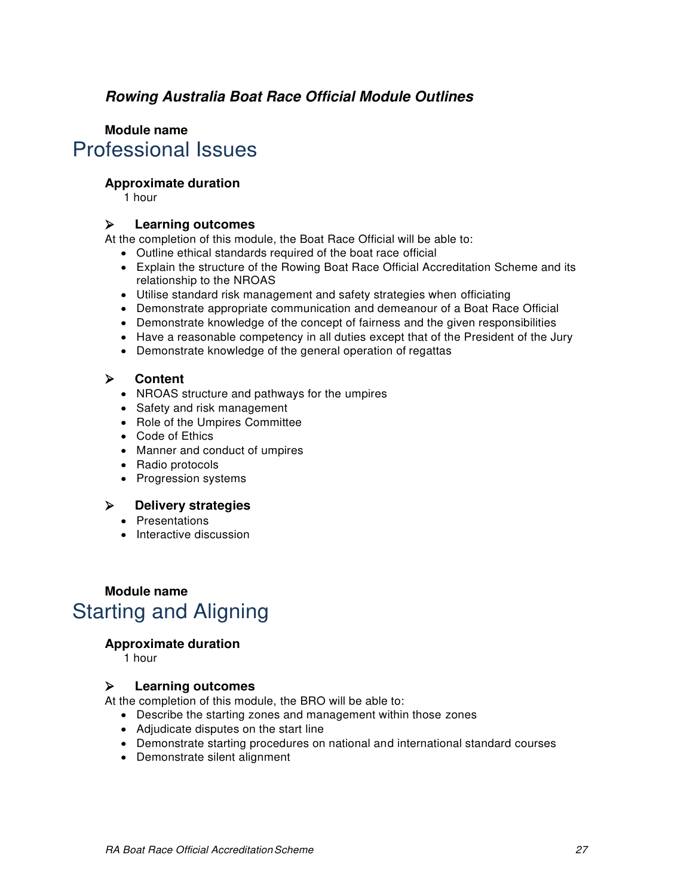## <span id="page-23-0"></span>*Rowing Australia Boat Race Official Module Outlines*

# **Module name** Professional Issues

## **Approximate duration**

1 hour

## **Learning outcomes**

At the completion of this module, the Boat Race Official will be able to:

- Outline ethical standards required of the boat race official
- Explain the structure of the Rowing Boat Race Official Accreditation Scheme and its relationship to the NROAS
- Utilise standard risk management and safety strategies when officiating
- Demonstrate appropriate communication and demeanour of a Boat Race Official
- Demonstrate knowledge of the concept of fairness and the given responsibilities
- Have a reasonable competency in all duties except that of the President of the Jury
- Demonstrate knowledge of the general operation of regattas

## **Content**

- NROAS structure and pathways for the umpires
- Safety and risk management
- Role of the Umpires Committee
- Code of Ethics
- Manner and conduct of umpires
- Radio protocols
- Progression systems

## **Delivery strategies**

- Presentations
- Interactive discussion

# **Module name** Starting and Aligning

## **Approximate duration**

1 hour

## **Learning outcomes**

At the completion of this module, the BRO will be able to:

- Describe the starting zones and management within those zones
- Adjudicate disputes on the start line
- Demonstrate starting procedures on national and international standard courses
- Demonstrate silent alignment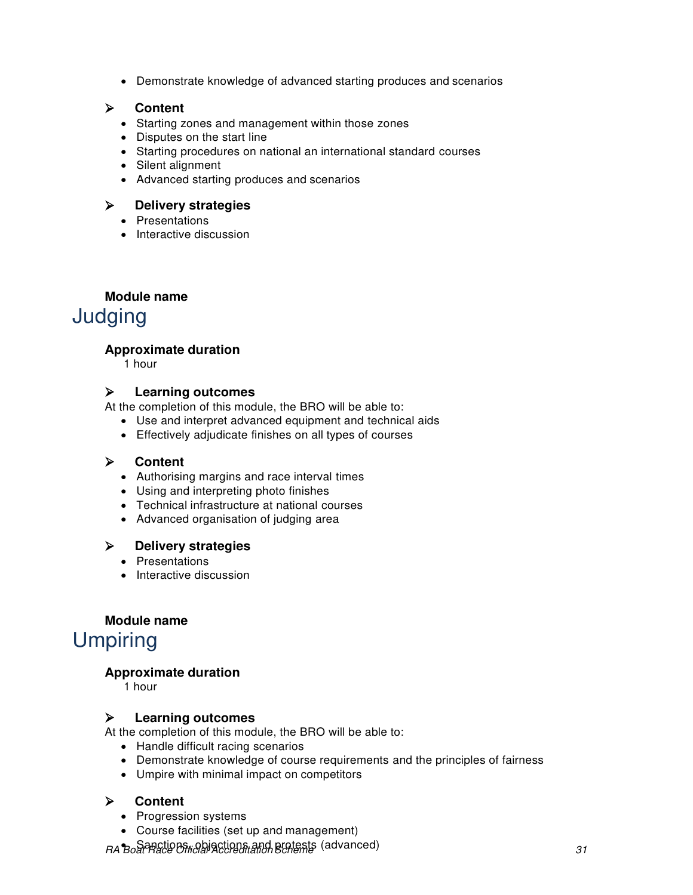Demonstrate knowledge of advanced starting produces and scenarios

## **Content**

- Starting zones and management within those zones
- Disputes on the start line
- Starting procedures on national an international standard courses
- Silent alignment
- Advanced starting produces and scenarios

## **Delivery strategies**

- Presentations
- Interactive discussion

## **Module name**

Judging

## **Approximate duration**

1 hour

## **Learning outcomes**

At the completion of this module, the BRO will be able to:

- Use and interpret advanced equipment and technical aids
- Effectively adjudicate finishes on all types of courses

## **Content**

- Authorising margins and race interval times
- Using and interpreting photo finishes
- Technical infrastructure at national courses
- Advanced organisation of judging area

## **Delivery strategies**

- Presentations
- Interactive discussion

## **Module name**

# Umpiring

## **Approximate duration**

1 hour

## **Learning outcomes**

At the completion of this module, the BRO will be able to:

- Handle difficult racing scenarios
- Demonstrate knowledge of course requirements and the principles of fairness
- Umpire with minimal impact on competitors

## **Content**

- Progression systems
- Course facilities (set up and management)

RA Boat Ractions, and protests (advanced)<br>RA Boat Race Official Accreditation Scheme (advanced)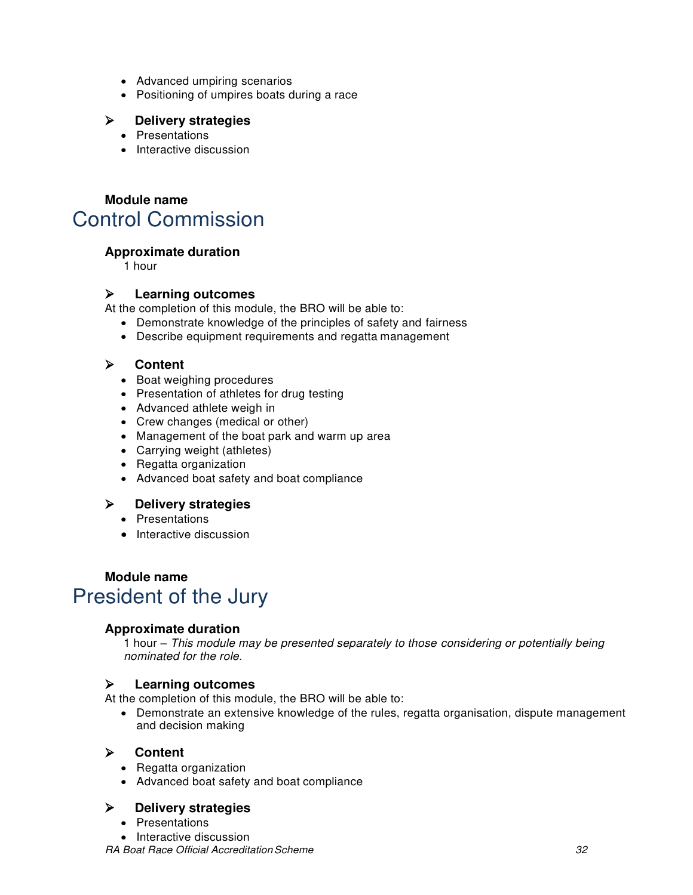- Advanced umpiring scenarios
- Positioning of umpires boats during a race

## **Delivery strategies**

- Presentations
- Interactive discussion

## **Module name** Control Commission

## **Approximate duration**

1 hour

## **Learning outcomes**

At the completion of this module, the BRO will be able to:

- Demonstrate knowledge of the principles of safety and fairness
- Describe equipment requirements and regatta management

## **Content**

- Boat weighing procedures
- Presentation of athletes for drug testing
- Advanced athlete weigh in
- Crew changes (medical or other)
- Management of the boat park and warm up area
- Carrying weight (athletes)
- Regatta organization
- Advanced boat safety and boat compliance

## **Delivery strategies**

- Presentations
- Interactive discussion

# **Module name** President of the Jury

## **Approximate duration**

1 hour – This module may be presented separately to those considering or potentially being nominated for the role.

## **Learning outcomes**

At the completion of this module, the BRO will be able to:

• Demonstrate an extensive knowledge of the rules, regatta organisation, dispute management and decision making

## **Content**

- Regatta organization
- Advanced boat safety and boat compliance

## **Delivery strategies**

- Presentations
- Interactive discussion

RA Boat Race Official Accreditation Scheme 32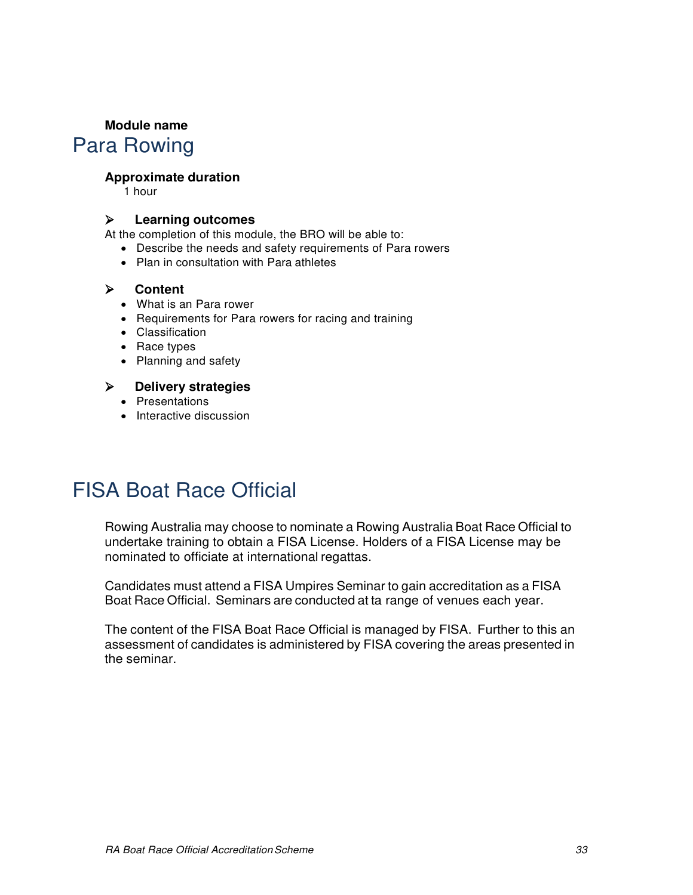## **Module name**

# Para Rowing

## **Approximate duration**

1 hour

## **Learning outcomes**

At the completion of this module, the BRO will be able to:

- Describe the needs and safety requirements of Para rowers
- Plan in consultation with Para athletes

## **Content**

- What is an Para rower
- Requirements for Para rowers for racing and training
- Classification
- Race types
- Planning and safety

## **Delivery strategies**

- Presentations
- Interactive discussion

# <span id="page-26-0"></span>FISA Boat Race Official

Rowing Australia may choose to nominate a Rowing Australia Boat Race Official to undertake training to obtain a FISA License. Holders of a FISA License may be nominated to officiate at international regattas.

Candidates must attend a FISA Umpires Seminar to gain accreditation as a FISA Boat Race Official. Seminars are conducted at ta range of venues each year.

The content of the FISA Boat Race Official is managed by FISA. Further to this an assessment of candidates is administered by FISA covering the areas presented in the seminar.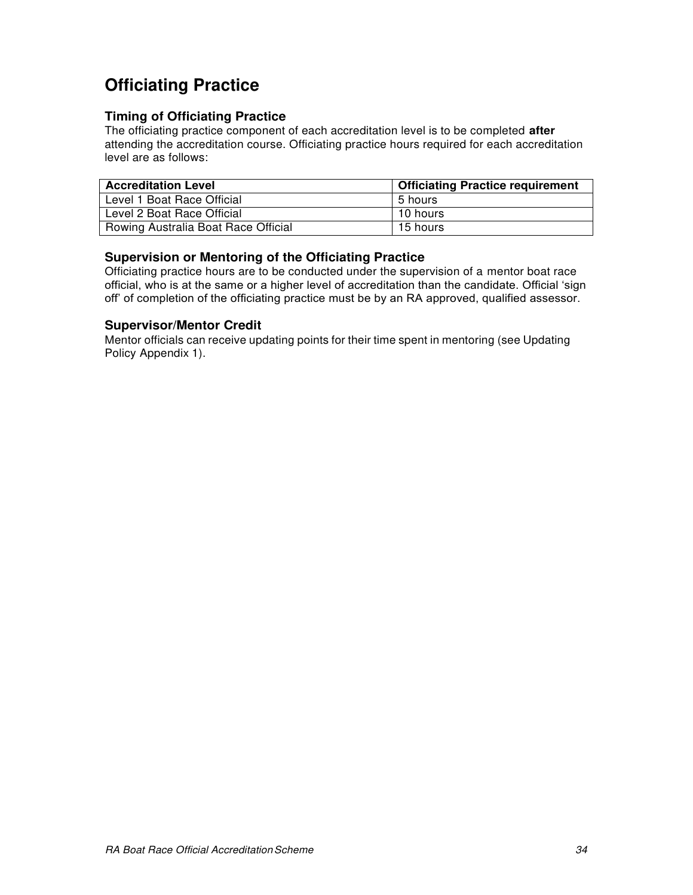# <span id="page-27-0"></span>**Officiating Practice**

## **Timing of Officiating Practice**

The officiating practice component of each accreditation level is to be completed **after**  attending the accreditation course. Officiating practice hours required for each accreditation level are as follows:

| <b>Accreditation Level</b>          | <b>Officiating Practice requirement</b> |
|-------------------------------------|-----------------------------------------|
| Level 1 Boat Race Official          | 5 hours                                 |
| Level 2 Boat Race Official          | 10 hours                                |
| Rowing Australia Boat Race Official | 15 hours                                |

## **Supervision or Mentoring of the Officiating Practice**

Officiating practice hours are to be conducted under the supervision of a mentor boat race official, who is at the same or a higher level of accreditation than the candidate. Official 'sign off' of completion of the officiating practice must be by an RA approved, qualified assessor.

## **Supervisor/Mentor Credit**

Mentor officials can receive updating points for their time spent in mentoring (see Updating Policy Appendix 1).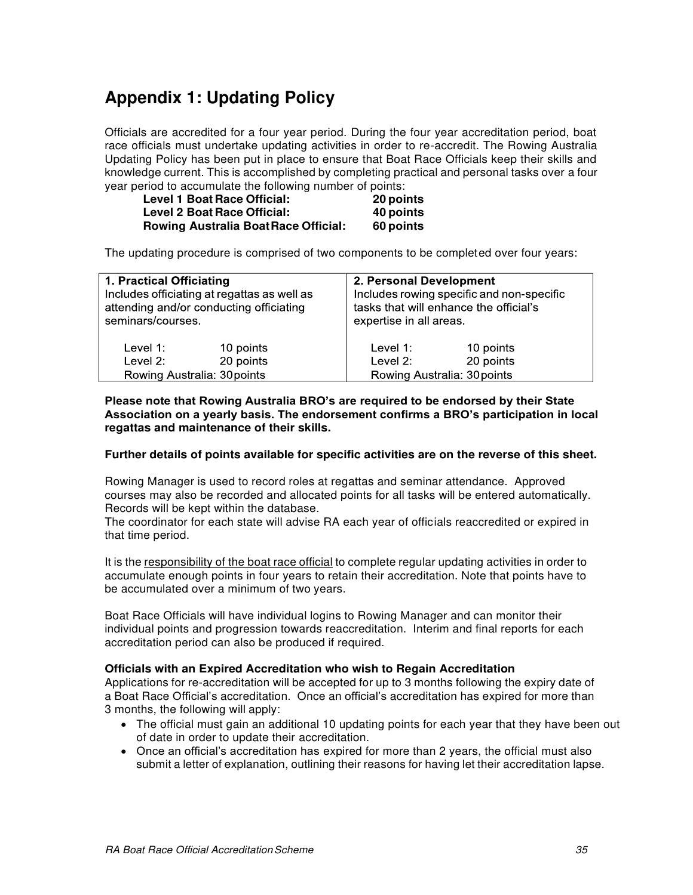# <span id="page-28-0"></span>**Appendix 1: Updating Policy**

Officials are accredited for a four year period. During the four year accreditation period, boat race officials must undertake updating activities in order to re-accredit. The Rowing Australia Updating Policy has been put in place to ensure that Boat Race Officials keep their skills and knowledge current. This is accomplished by completing practical and personal tasks over a four year period to accumulate the following number of points:

| <b>Level 1 Boat Race Official:</b>         | 20 points |
|--------------------------------------------|-----------|
| <b>Level 2 Boat Race Official:</b>         | 40 points |
| <b>Rowing Australia BoatRace Official:</b> | 60 points |

The updating procedure is comprised of two components to be completed over four years:

| 1. Practical Officiating<br>Includes officiating at regattas as well as<br>attending and/or conducting officiating<br>seminars/courses. |           | 2. Personal Development<br>tasks that will enhance the official's<br>expertise in all areas. | Includes rowing specific and non-specific |
|-----------------------------------------------------------------------------------------------------------------------------------------|-----------|----------------------------------------------------------------------------------------------|-------------------------------------------|
| Level 1:                                                                                                                                | 10 points | Level 1:                                                                                     | 10 points                                 |
| Level 2:                                                                                                                                | 20 points | Level $2$ :                                                                                  | 20 points                                 |
| Rowing Australia: 30 points                                                                                                             |           | Rowing Australia: 30 points                                                                  |                                           |

#### **Please note that Rowing Australia BRO's are required to be endorsed by their State Association on a yearly basis. The endorsement confirms a BRO's participation in local regattas and maintenance of their skills.**

#### **Further details of points available for specific activities are on the reverse of this sheet.**

Rowing Manager is used to record roles at regattas and seminar attendance. Approved courses may also be recorded and allocated points for all tasks will be entered automatically. Records will be kept within the database.

The coordinator for each state will advise RA each year of officials reaccredited or expired in that time period.

It is the responsibility of the boat race official to complete regular updating activities in order to accumulate enough points in four years to retain their accreditation. Note that points have to be accumulated over a minimum of two years.

Boat Race Officials will have individual logins to Rowing Manager and can monitor their individual points and progression towards reaccreditation. Interim and final reports for each accreditation period can also be produced if required.

#### **Officials with an Expired Accreditation who wish to Regain Accreditation**

Applications for re-accreditation will be accepted for up to 3 months following the expiry date of a Boat Race Official's accreditation. Once an official's accreditation has expired for more than 3 months, the following will apply:

- The official must gain an additional 10 updating points for each year that they have been out of date in order to update their accreditation.
- Once an official's accreditation has expired for more than 2 years, the official must also submit a letter of explanation, outlining their reasons for having let their accreditation lapse.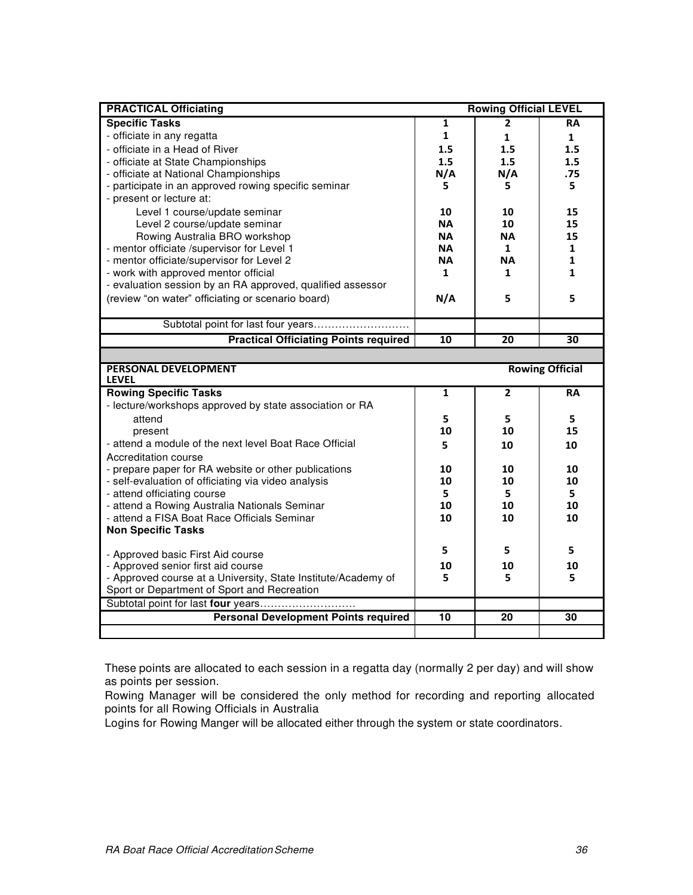| <b>PRACTICAL Officiating</b>                                                                                 |              | <b>Rowing Official LEVEL</b> |                        |
|--------------------------------------------------------------------------------------------------------------|--------------|------------------------------|------------------------|
| <b>Specific Tasks</b>                                                                                        | 1            | 2                            | RA                     |
| - officiate in any regatta                                                                                   | $\mathbf{1}$ | $\mathbf{1}$                 | $\mathbf{1}$           |
| - officiate in a Head of River                                                                               | 1.5          | 1.5                          | 1.5                    |
| - officiate at State Championships                                                                           | 1.5          | 1.5                          | 1.5                    |
| - officiate at National Championships                                                                        | N/A          | N/A                          | .75                    |
| - participate in an approved rowing specific seminar                                                         | 5.           | 5.                           | 5                      |
| - present or lecture at:                                                                                     |              |                              |                        |
| Level 1 course/update seminar                                                                                | 10           | 10                           | 15                     |
| Level 2 course/update seminar                                                                                | <b>NA</b>    | 10                           | 15                     |
| Rowing Australia BRO workshop                                                                                | <b>NA</b>    | <b>NA</b>                    | 15                     |
| - mentor officiate /supervisor for Level 1                                                                   | <b>NA</b>    | $\mathbf{1}$                 | 1                      |
| - mentor officiate/supervisor for Level 2                                                                    | <b>NA</b>    | <b>NA</b>                    | 1                      |
| - work with approved mentor official                                                                         | 1            | $\mathbf{1}$                 | 1                      |
| - evaluation session by an RA approved, qualified assessor                                                   |              |                              |                        |
| (review "on water" officiating or scenario board)                                                            | N/A          | 5                            | 5                      |
|                                                                                                              |              |                              |                        |
| Subtotal point for last four years                                                                           |              |                              |                        |
| <b>Practical Officiating Points required</b>                                                                 | 10           | 20                           | 30                     |
|                                                                                                              |              |                              |                        |
| PERSONAL DEVELOPMENT                                                                                         |              |                              | <b>Rowing Official</b> |
| <b>LEVEL</b>                                                                                                 |              |                              |                        |
| <b>Rowing Specific Tasks</b>                                                                                 | 1            | $\overline{2}$               | RA                     |
| - lecture/workshops approved by state association or RA                                                      |              |                              |                        |
| attend                                                                                                       | 5            | 5                            | 5                      |
| present                                                                                                      | 10           | 10                           | 15                     |
| - attend a module of the next level Boat Race Official                                                       | 5.           | 10                           | 10                     |
| Accreditation course                                                                                         |              |                              |                        |
| - prepare paper for RA website or other publications                                                         | 10           | 10                           | 10                     |
| - self-evaluation of officiating via video analysis                                                          | 10           | 10                           | 10                     |
| - attend officiating course                                                                                  | 5            | 5                            | 5                      |
| - attend a Rowing Australia Nationals Seminar                                                                | 10           | 10                           | 10                     |
| - attend a FISA Boat Race Officials Seminar                                                                  | 10           | 10                           | 10                     |
| <b>Non Specific Tasks</b>                                                                                    |              |                              |                        |
|                                                                                                              |              |                              |                        |
|                                                                                                              | 5            | 5                            | 5                      |
| - Approved basic First Aid course                                                                            | 10           | 10                           | 10                     |
| - Approved senior first aid course                                                                           | 5            | 5                            | 5                      |
| - Approved course at a University, State Institute/Academy of<br>Sport or Department of Sport and Recreation |              |                              |                        |
|                                                                                                              |              |                              |                        |
| <b>Personal Development Points required</b>                                                                  | 10           | 20                           | 30                     |

These points are allocated to each session in a regatta day (normally 2 per day) and will show as points per session.

Rowing Manager will be considered the only method for recording and reporting allocated points for all Rowing Officials in Australia

Logins for Rowing Manger will be allocated either through the system or state coordinators.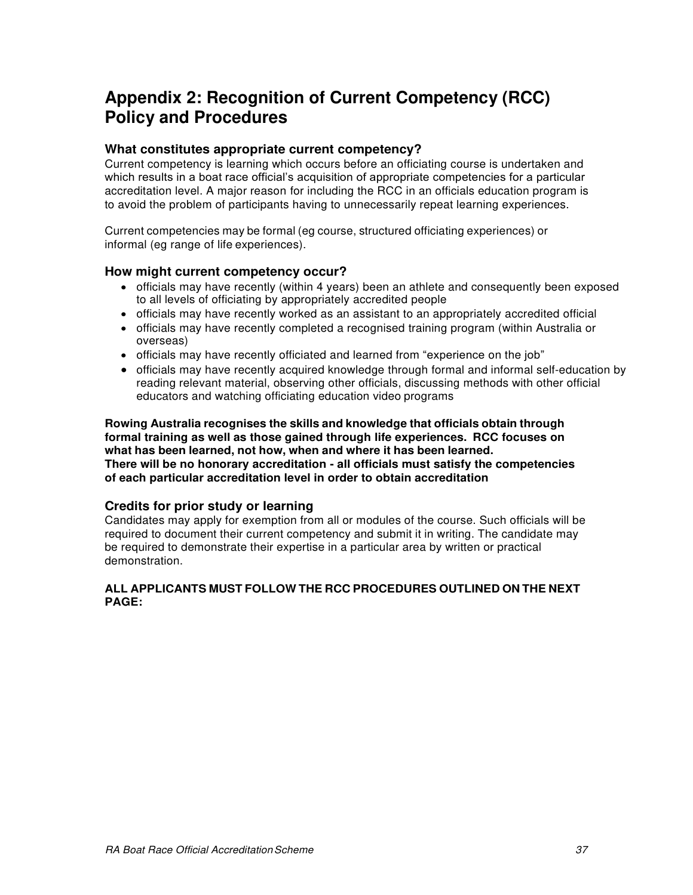# <span id="page-30-0"></span>**Appendix 2: Recognition of Current Competency (RCC) Policy and Procedures**

## **What constitutes appropriate current competency?**

Current competency is learning which occurs before an officiating course is undertaken and which results in a boat race official's acquisition of appropriate competencies for a particular accreditation level. A major reason for including the RCC in an officials education program is to avoid the problem of participants having to unnecessarily repeat learning experiences.

Current competencies may be formal (eg course, structured officiating experiences) or informal (eg range of life experiences).

## **How might current competency occur?**

- officials may have recently (within 4 years) been an athlete and consequently been exposed to all levels of officiating by appropriately accredited people
- officials may have recently worked as an assistant to an appropriately accredited official
- officials may have recently completed a recognised training program (within Australia or overseas)
- officials may have recently officiated and learned from "experience on the job"
- officials may have recently acquired knowledge through formal and informal self-education by reading relevant material, observing other officials, discussing methods with other official educators and watching officiating education video programs

**Rowing Australia recognises the skills and knowledge that officials obtain through formal training as well as those gained through life experiences. RCC focuses on what has been learned, not how, when and where it has been learned. There will be no honorary accreditation - all officials must satisfy the competencies of each particular accreditation level in order to obtain accreditation**

## **Credits for prior study or learning**

Candidates may apply for exemption from all or modules of the course. Such officials will be required to document their current competency and submit it in writing. The candidate may be required to demonstrate their expertise in a particular area by written or practical demonstration.

## **ALL APPLICANTS MUST FOLLOW THE RCC PROCEDURES OUTLINED ON THE NEXT PAGE:**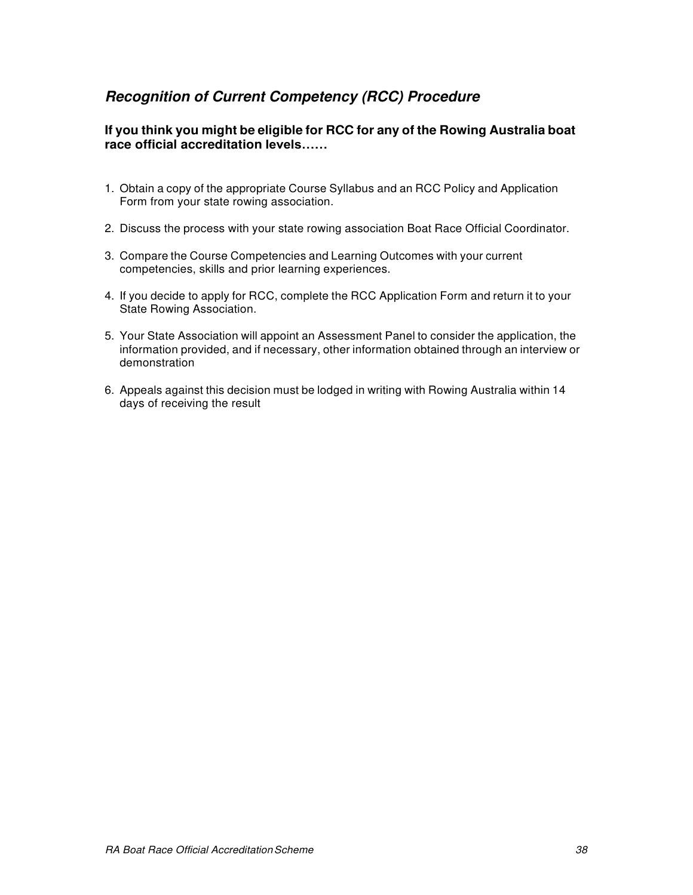## <span id="page-31-0"></span>*Recognition of Current Competency (RCC) Procedure*

## **If you think you might be eligible for RCC for any of the Rowing Australia boat race official accreditation levels……**

- 1. Obtain a copy of the appropriate Course Syllabus and an RCC Policy and Application Form from your state rowing association.
- 2. Discuss the process with your state rowing association Boat Race Official Coordinator.
- 3. Compare the Course Competencies and Learning Outcomes with your current competencies, skills and prior learning experiences.
- 4. If you decide to apply for RCC, complete the RCC Application Form and return it to your State Rowing Association.
- 5. Your State Association will appoint an Assessment Panel to consider the application, the information provided, and if necessary, other information obtained through an interview or demonstration
- 6. Appeals against this decision must be lodged in writing with Rowing Australia within 14 days of receiving the result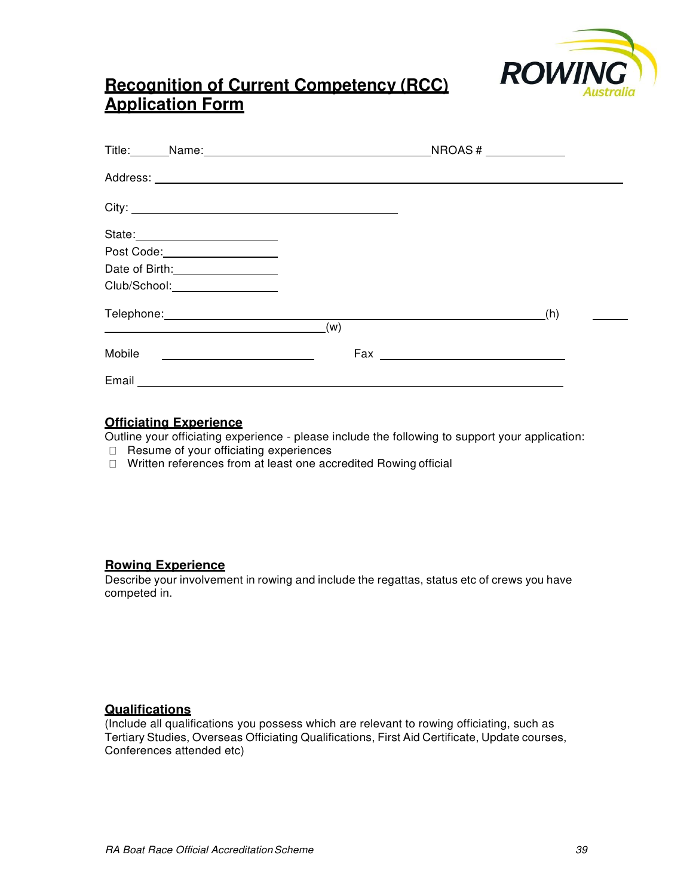

# **Recognition of Current Competency (RCC) Application Form**

| State: <u>_______________________</u>                                                                                                                                                                                          |     |     |
|--------------------------------------------------------------------------------------------------------------------------------------------------------------------------------------------------------------------------------|-----|-----|
| Post Code:___________________                                                                                                                                                                                                  |     |     |
| Date of Birth: 1990 Mate of Birth:                                                                                                                                                                                             |     |     |
| Club/School: 2000                                                                                                                                                                                                              |     |     |
| Telephone: New York Change and Change and Change and Change and Change and Change and Change and Change and Change and Change and Change and Change and Change and Change and Change and Change and Change and Change and Chan |     | (h) |
| <u> 1989 - Johann Stoff, deutscher Stoffen und der Stoffen und der Stoffen und der Stoffen und der Stoffen und der</u>                                                                                                         | (w) |     |
| Mobile<br><u> 1980 - Johann Stein, mars an de Francisco (f. 19</u>                                                                                                                                                             |     |     |
|                                                                                                                                                                                                                                |     |     |

## **Officiating Experience**

Outline your officiating experience - please include the following to support your application:

- $\Box$  Resume of your officiating experiences
- Written references from at least one accredited Rowing official

## **Rowing Experience**

Describe your involvement in rowing and include the regattas, status etc of crews you have competed in.

## **Qualifications**

(Include all qualifications you possess which are relevant to rowing officiating, such as Tertiary Studies, Overseas Officiating Qualifications, First Aid Certificate, Update courses, Conferences attended etc)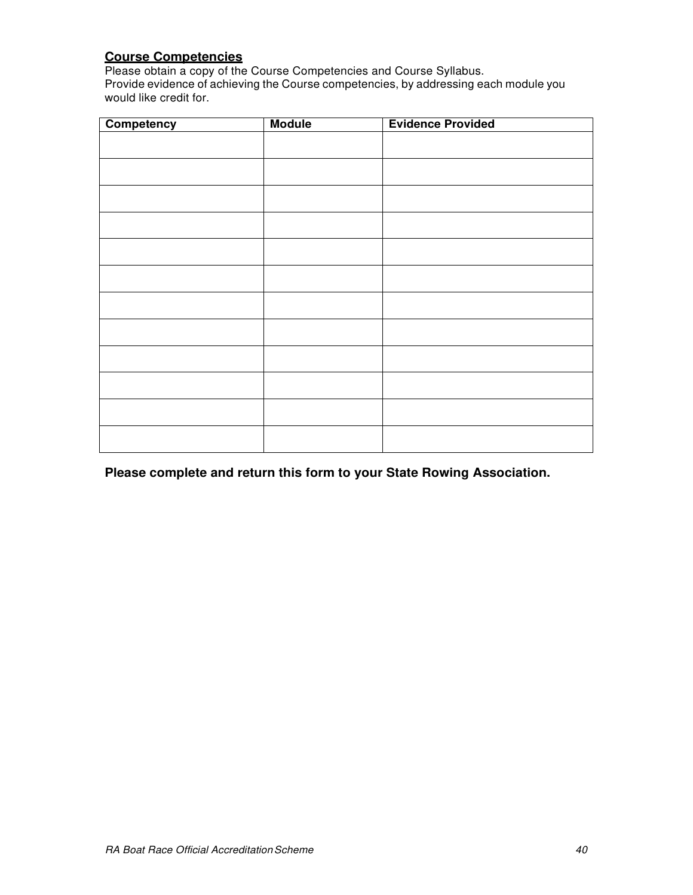## **Course Competencies**

Please obtain a copy of the Course Competencies and Course Syllabus. Provide evidence of achieving the Course competencies, by addressing each module you would like credit for.

| Competency | <b>Module</b> | <b>Evidence Provided</b> |
|------------|---------------|--------------------------|
|            |               |                          |
|            |               |                          |
|            |               |                          |
|            |               |                          |
|            |               |                          |
|            |               |                          |
|            |               |                          |
|            |               |                          |
|            |               |                          |
|            |               |                          |
|            |               |                          |
|            |               |                          |
|            |               |                          |

**Please complete and return this form to your State Rowing Association.**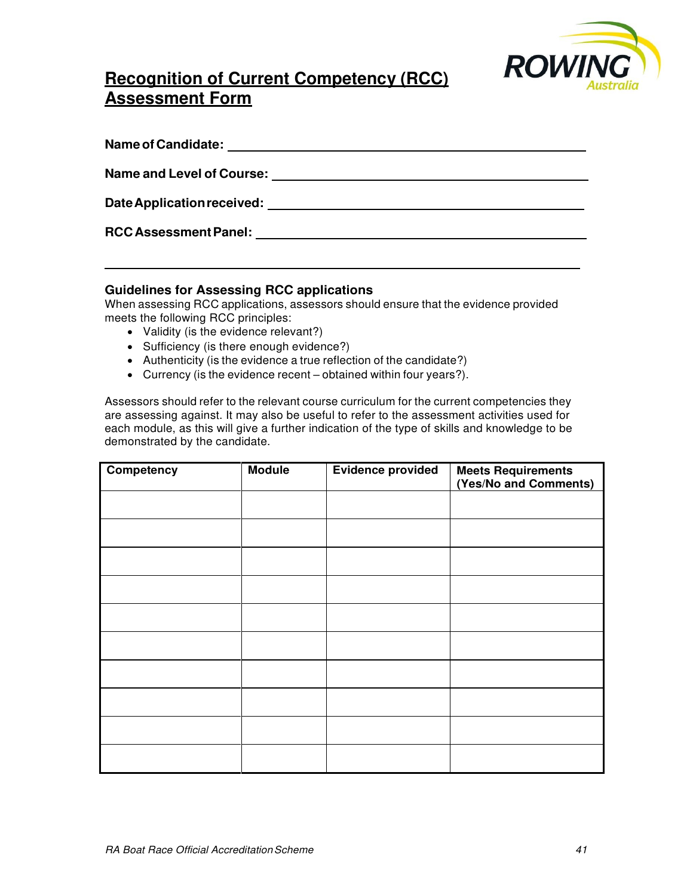

# **Recognition of Current Competency (RCC) Assessment Form**

| Name of Candidate:               |  |
|----------------------------------|--|
| <b>Name and Level of Course:</b> |  |
| Date Application received:       |  |
| <b>RCC Assessment Panel:</b>     |  |
|                                  |  |

## **Guidelines for Assessing RCC applications**

When assessing RCC applications, assessors should ensure that the evidence provided meets the following RCC principles:

- Validity (is the evidence relevant?)
- Sufficiency (is there enough evidence?)
- Authenticity (is the evidence a true reflection of the candidate?)
- Currency (is the evidence recent obtained within four years?).

Assessors should refer to the relevant course curriculum for the current competencies they are assessing against. It may also be useful to refer to the assessment activities used for each module, as this will give a further indication of the type of skills and knowledge to be demonstrated by the candidate.

| Competency | <b>Module</b> | <b>Evidence provided</b> | <b>Meets Requirements</b><br>(Yes/No and Comments) |
|------------|---------------|--------------------------|----------------------------------------------------|
|            |               |                          |                                                    |
|            |               |                          |                                                    |
|            |               |                          |                                                    |
|            |               |                          |                                                    |
|            |               |                          |                                                    |
|            |               |                          |                                                    |
|            |               |                          |                                                    |
|            |               |                          |                                                    |
|            |               |                          |                                                    |
|            |               |                          |                                                    |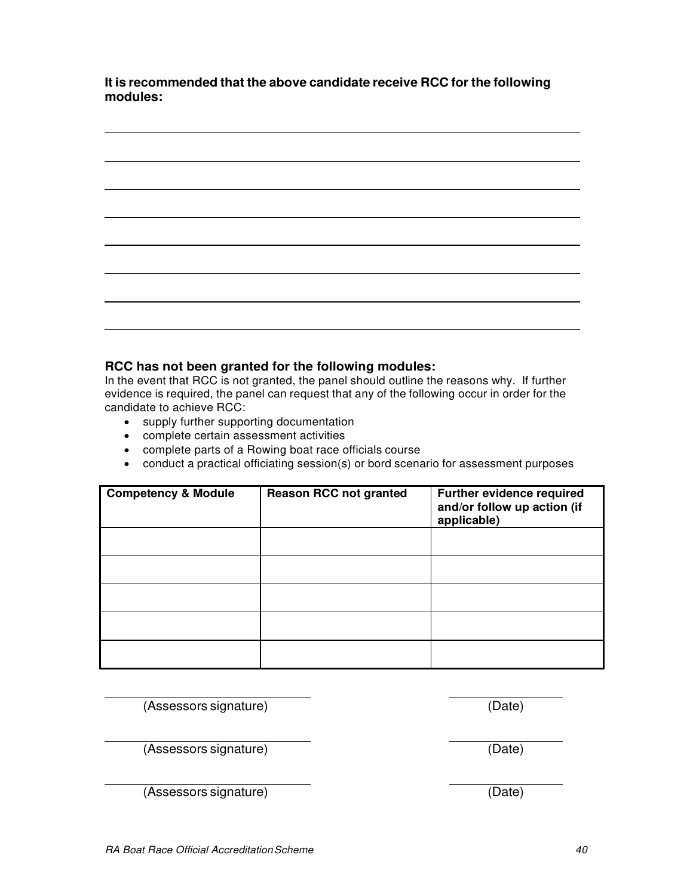**It is recommended that the above candidate receive RCC for the following modules:**

**RCC has not been granted for the following modules:** In the event that RCC is not granted, the panel should outline the reasons why. If further evidence is required, the panel can request that any of the following occur in order for the

# candidate to achieve RCC:

- supply further supporting documentation
- complete certain assessment activities
- complete parts of a Rowing boat race officials course
- conduct a practical officiating session(s) or bord scenario for assessment purposes

| <b>Competency &amp; Module</b> | <b>Reason RCC not granted</b> | Further evidence required<br>and/or follow up action (if<br>applicable) |
|--------------------------------|-------------------------------|-------------------------------------------------------------------------|
|                                |                               |                                                                         |
|                                |                               |                                                                         |
|                                |                               |                                                                         |
|                                |                               |                                                                         |
|                                |                               |                                                                         |

(Assessors signature) (Date)

(Assessors signature) (Date)

(Assessors signature) (Date)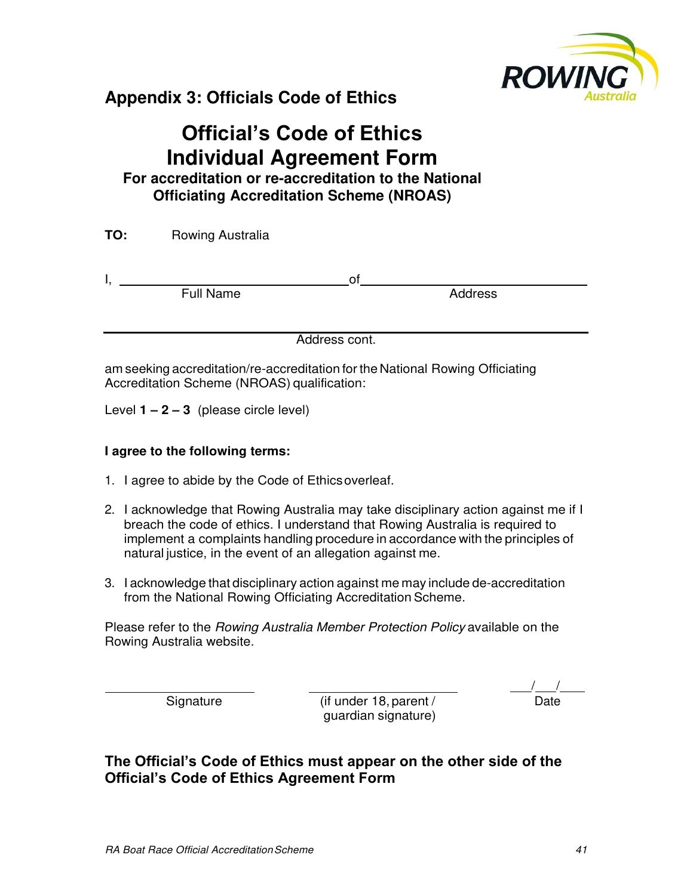

# <span id="page-36-0"></span>**Appendix 3: Officials Code of Ethics**

# **Official's Code of Ethics Individual Agreement Form**

**For accreditation or re-accreditation to the National Officiating Accreditation Scheme (NROAS)** 

| TO: | Rowing Australia |    |         |  |
|-----|------------------|----|---------|--|
| ٠,  | <b>Full Name</b> | O1 | Address |  |

Address cont.

am seeking accreditation/re-accreditation for the National Rowing Officiating Accreditation Scheme (NROAS) qualification:

Level **1 – 2 – 3** (please circle level)

## **I agree to the following terms:**

- 1. I agree to abide by the Code of Ethics overleaf.
- 2. I acknowledge that Rowing Australia may take disciplinary action against me if I breach the code of ethics. I understand that Rowing Australia is required to implement a complaints handling procedure in accordance with the principles of natural justice, in the event of an allegation against me.
- 3. I acknowledge that disciplinary action against me may include de-accreditation from the National Rowing Officiating Accreditation Scheme.

Please refer to the Rowing Australia Member Protection Policy available on the Rowing Australia website.

Signature (if under 18, parent / guardian signature)

 $\frac{1}{\text{Date}}$ 

**The Official's Code of Ethics must appear on the other side of the Official's Code of Ethics Agreement Form**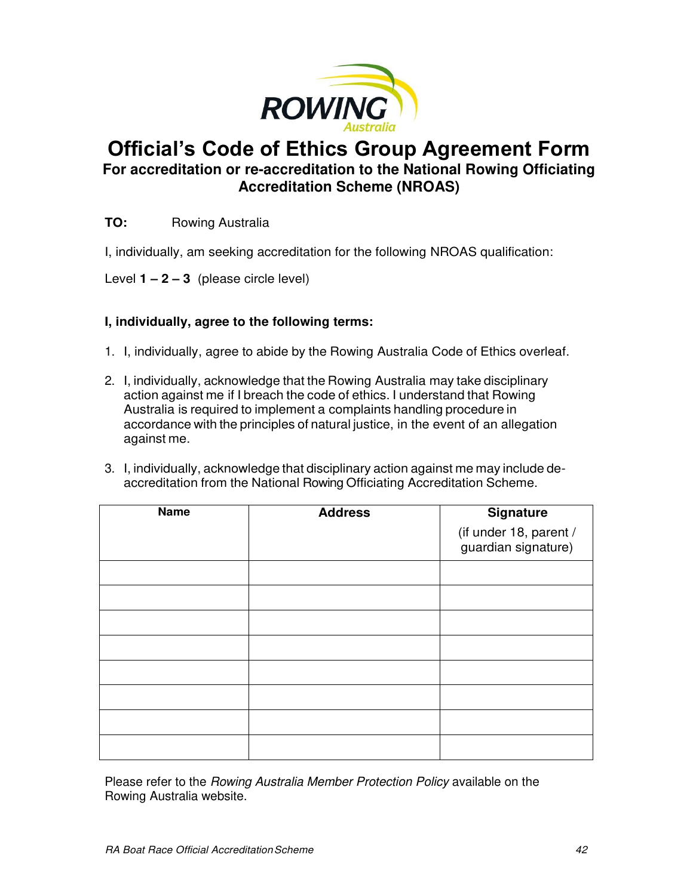

# **Official's Code of Ethics Group Agreement Form For accreditation or re-accreditation to the National Rowing Officiating Accreditation Scheme (NROAS)**

## **TO:** Rowing Australia

I, individually, am seeking accreditation for the following NROAS qualification:

Level **1 – 2 – 3** (please circle level)

## **I, individually, agree to the following terms:**

- 1. I, individually, agree to abide by the Rowing Australia Code of Ethics overleaf.
- 2. I, individually, acknowledge that the Rowing Australia may take disciplinary action against me if I breach the code of ethics. I understand that Rowing Australia is required to implement a complaints handling procedure in accordance with the principles of natural justice, in the event of an allegation against me.
- 3. I, individually, acknowledge that disciplinary action against me may include deaccreditation from the National Rowing Officiating Accreditation Scheme.

| <b>Name</b> | <b>Address</b> | <b>Signature</b>                              |
|-------------|----------------|-----------------------------------------------|
|             |                | (if under 18, parent /<br>guardian signature) |
|             |                |                                               |
|             |                |                                               |
|             |                |                                               |
|             |                |                                               |
|             |                |                                               |
|             |                |                                               |
|             |                |                                               |
|             |                |                                               |

Please refer to the Rowing Australia Member Protection Policy available on the Rowing Australia website.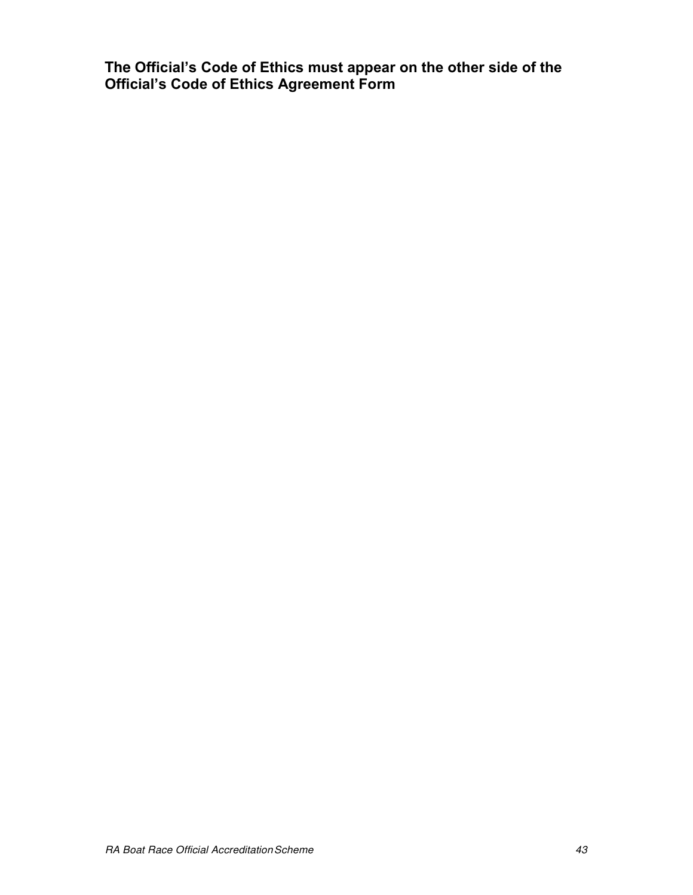**The Official's Code of Ethics must appear on the other side of the Official's Code of Ethics Agreement Form**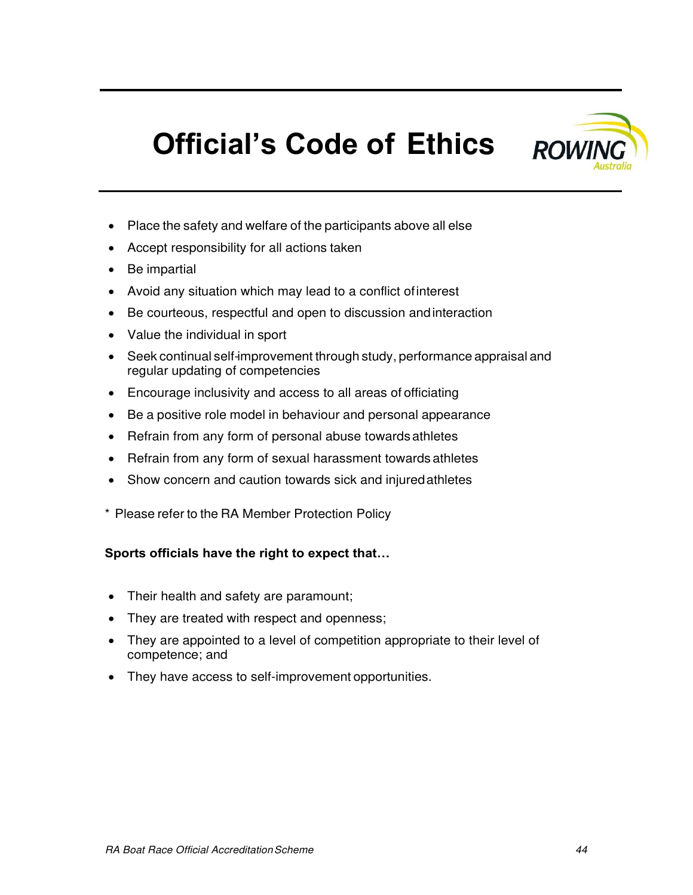

# **Official's Code of Ethics**

- Place the safety and welfare of the participants above all else
- Accept responsibility for all actions taken
- Be impartial
- Avoid any situation which may lead to a conflict of interest
- Be courteous, respectful and open to discussion and interaction
- Value the individual in sport
- Seek continual self-improvement through study, performance appraisal and regular updating of competencies
- Encourage inclusivity and access to all areas of officiating
- Be a positive role model in behaviour and personal appearance
- Refrain from any form of personal abuse towards athletes
- Refrain from any form of sexual harassment towards athletes
- Show concern and caution towards sick and injured athletes
- \* Please refer to the RA Member Protection Policy

## **Sports officials have the right to expect that…**

- Their health and safety are paramount;
- They are treated with respect and openness;
- They are appointed to a level of competition appropriate to their level of competence; and
- They have access to self-improvement opportunities.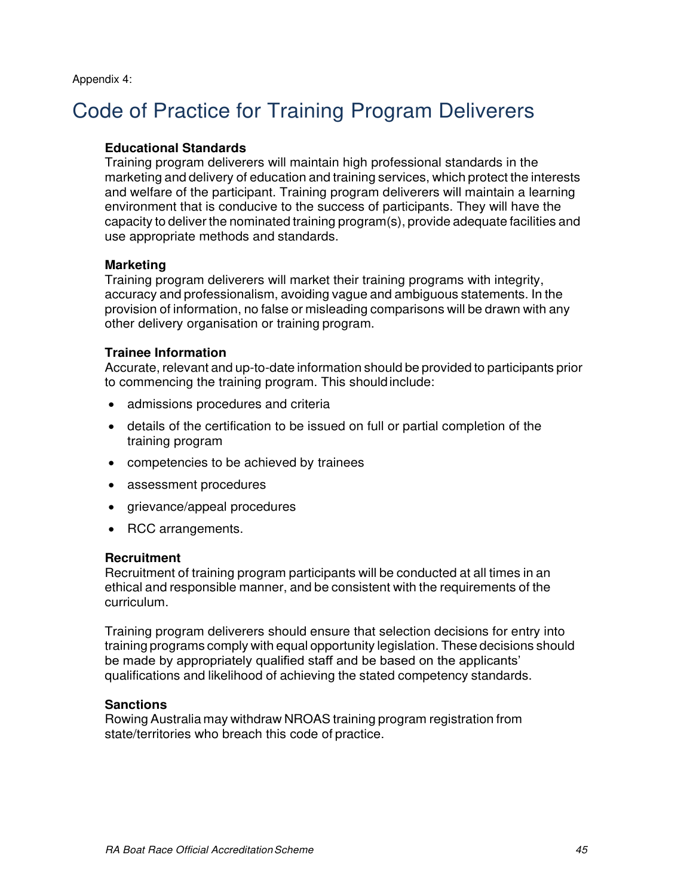# <span id="page-40-0"></span>Code of Practice for Training Program Deliverers

## **Educational Standards**

Training program deliverers will maintain high professional standards in the marketing and delivery of education and training services, which protect the interests and welfare of the participant. Training program deliverers will maintain a learning environment that is conducive to the success of participants. They will have the capacity to deliver the nominated training program(s), provide adequate facilities and use appropriate methods and standards.

## **Marketing**

Training program deliverers will market their training programs with integrity, accuracy and professionalism, avoiding vague and ambiguous statements. In the provision of information, no false or misleading comparisons will be drawn with any other delivery organisation or training program.

## **Trainee Information**

Accurate, relevant and up-to-date information should be provided to participants prior to commencing the training program. This should include:

- admissions procedures and criteria
- details of the certification to be issued on full or partial completion of the training program
- competencies to be achieved by trainees
- assessment procedures
- grievance/appeal procedures
- RCC arrangements.

## **Recruitment**

Recruitment of training program participants will be conducted at all times in an ethical and responsible manner, and be consistent with the requirements of the curriculum.

Training program deliverers should ensure that selection decisions for entry into training programs comply with equal opportunity legislation. These decisions should be made by appropriately qualified staff and be based on the applicants' qualifications and likelihood of achieving the stated competency standards.

## **Sanctions**

Rowing Australia may withdraw NROAS training program registration from state/territories who breach this code of practice.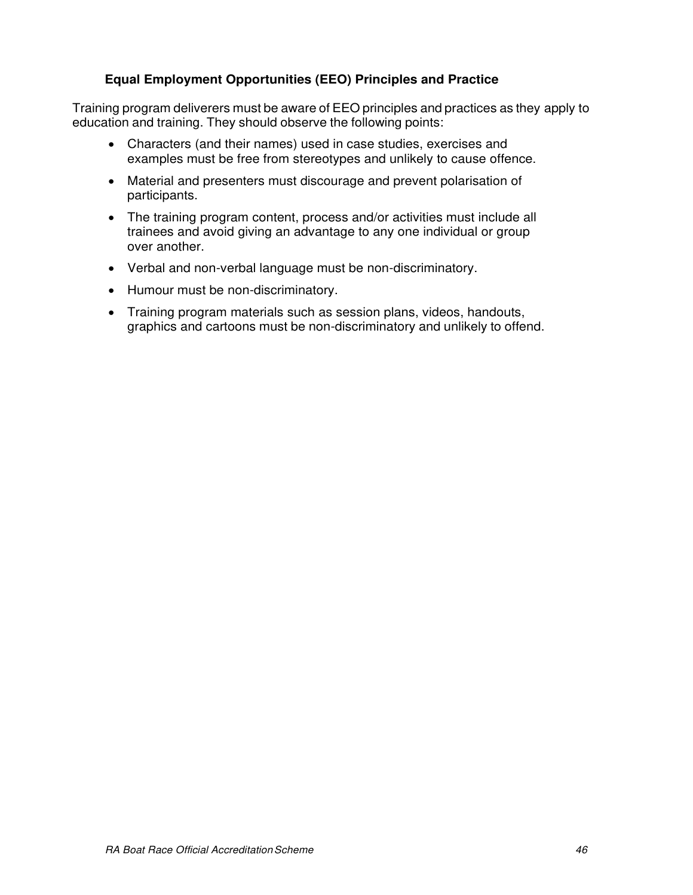## **Equal Employment Opportunities (EEO) Principles and Practice**

Training program deliverers must be aware of EEO principles and practices as they apply to education and training. They should observe the following points:

- Characters (and their names) used in case studies, exercises and examples must be free from stereotypes and unlikely to cause offence.
- Material and presenters must discourage and prevent polarisation of participants.
- The training program content, process and/or activities must include all trainees and avoid giving an advantage to any one individual or group over another.
- Verbal and non-verbal language must be non-discriminatory.
- Humour must be non-discriminatory.
- Training program materials such as session plans, videos, handouts, graphics and cartoons must be non-discriminatory and unlikely to offend.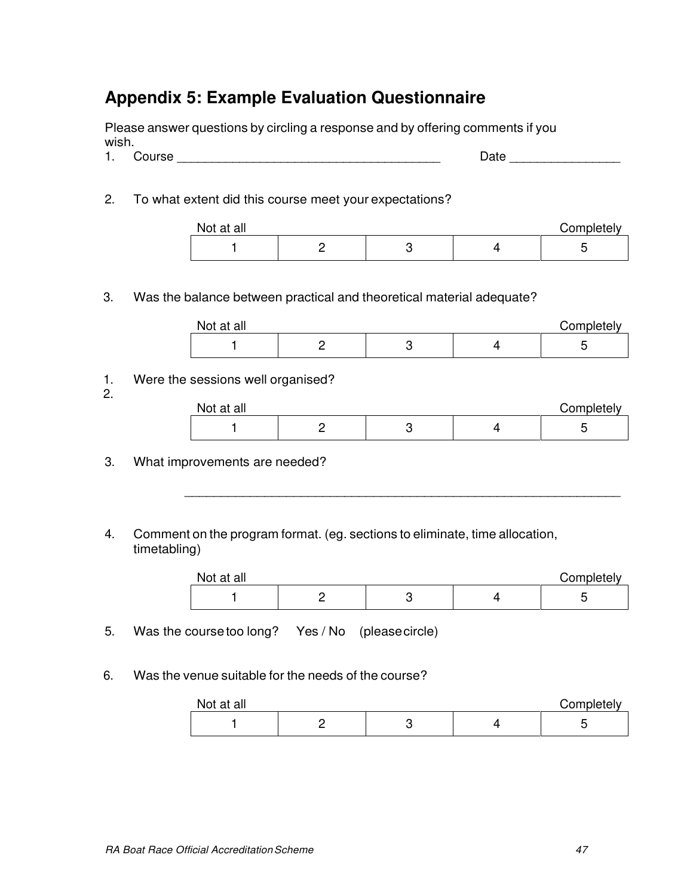# <span id="page-42-0"></span>**Appendix 5: Example Evaluation Questionnaire**

Please answer questions by circling a response and by offering comments if you wish.

- 1. Course \_\_\_\_\_\_\_\_\_\_\_\_\_\_\_\_\_\_\_\_\_\_\_\_\_\_\_\_\_\_\_\_\_\_\_\_\_\_ Date \_\_\_\_\_\_\_\_\_\_\_\_\_\_\_\_
- 2. To what extent did this course meet your expectations?

| Not at all |  | Completely |
|------------|--|------------|
|            |  |            |

## 3. Was the balance between practical and theoretical material adequate?

| Not at all |  | Completely |
|------------|--|------------|
|            |  |            |

1. Were the sessions well organised?

2.

| Not at all |  | Completely |
|------------|--|------------|
|            |  | ∼          |

\_\_\_\_\_\_\_\_\_\_\_\_\_\_\_\_\_\_\_\_\_\_\_\_\_\_\_\_\_\_\_\_\_\_\_\_\_\_\_\_\_\_\_\_\_\_\_\_\_\_\_\_\_\_\_\_\_\_\_\_

- 3. What improvements are needed?
- 4. Comment on the program format. (eg. sections to eliminate, time allocation, timetabling)

| Not at all |  | Completely |
|------------|--|------------|
|            |  |            |

5. Was the course too long? Yes / No (please circle)

6. Was the venue suitable for the needs of the course?

| Not at all |  | Completely |
|------------|--|------------|
|            |  |            |